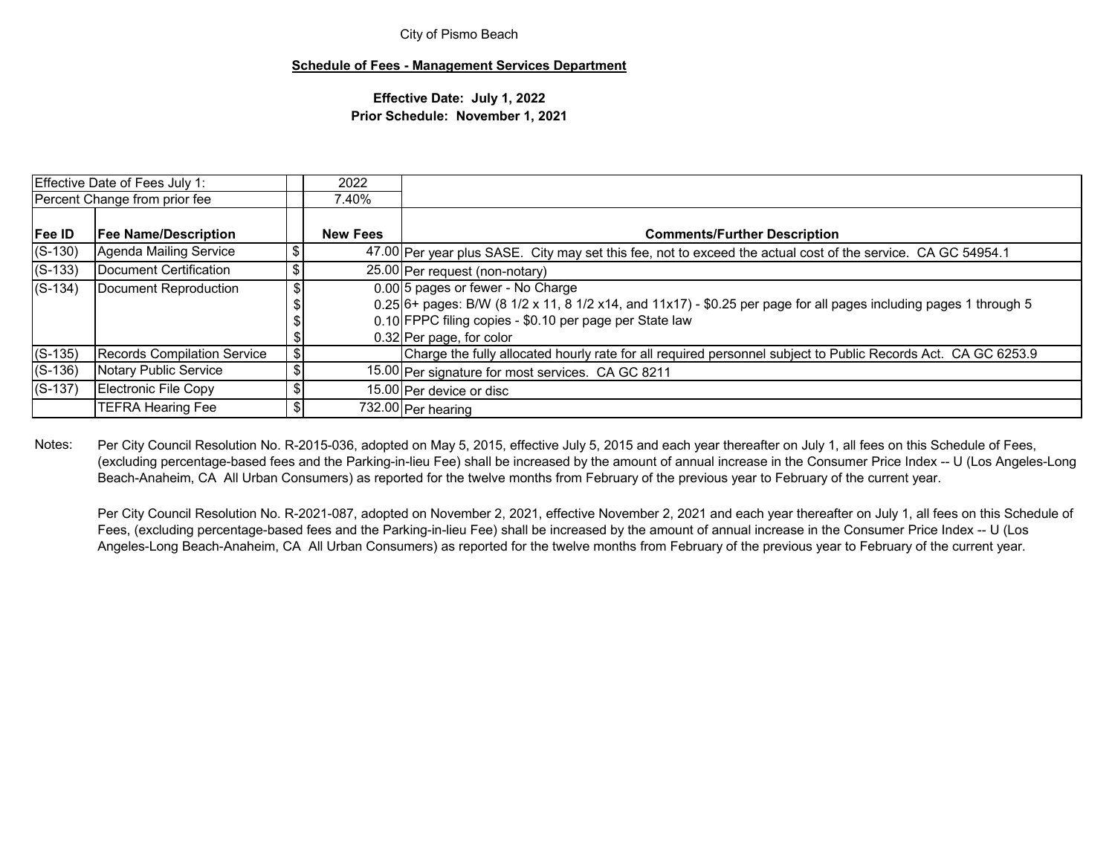### **Schedule of Fees - Management Services Department**

## **Effective Date: July 1, 2022 Prior Schedule: November 1, 2021**

| <b>Effective Date of Fees July 1:</b> |                                    | 2022            |                                                                                                                                                                                                                                                 |
|---------------------------------------|------------------------------------|-----------------|-------------------------------------------------------------------------------------------------------------------------------------------------------------------------------------------------------------------------------------------------|
|                                       | Percent Change from prior fee      | 7.40%           |                                                                                                                                                                                                                                                 |
| Fee ID                                | <b>Fee Name/Description</b>        | <b>New Fees</b> | <b>Comments/Further Description</b>                                                                                                                                                                                                             |
| $(S-130)$                             | Agenda Mailing Service             |                 | 47.00 Per year plus SASE. City may set this fee, not to exceed the actual cost of the service. CA GC 54954.1                                                                                                                                    |
| $(S-133)$                             | Document Certification             |                 | 25.00 Per request (non-notary)                                                                                                                                                                                                                  |
| $(S-134)$                             | Document Reproduction              |                 | 0.00 5 pages or fewer - No Charge<br>$0.25$ 6+ pages: B/W (8 1/2 x 11, 8 1/2 x14, and 11x17) - \$0.25 per page for all pages including pages 1 through 5<br>0.10 FPPC filing copies - \$0.10 per page per State law<br>0.32 Per page, for color |
| $(S-135)$                             | <b>Records Compilation Service</b> |                 | Charge the fully allocated hourly rate for all required personnel subject to Public Records Act. CA GC 6253.9                                                                                                                                   |
| $(S-136)$                             | Notary Public Service              |                 | 15.00 Per signature for most services. CA GC 8211                                                                                                                                                                                               |
| $(S-137)$                             | Electronic File Copy               |                 | 15.00 Per device or disc                                                                                                                                                                                                                        |
|                                       | <b>TEFRA Hearing Fee</b>           |                 | 732.00 Per hearing                                                                                                                                                                                                                              |

Notes:Per City Council Resolution No. R-2015-036, adopted on May 5, 2015, effective July 5, 2015 and each year thereafter on July 1, all fees on this Schedule of Fees, (excluding percentage-based fees and the Parking-in-lieu Fee) shall be increased by the amount of annual increase in the Consumer Price Index -- U (Los Angeles-Long Beach-Anaheim, CA All Urban Consumers) as reported for the twelve months from February of the previous year to February of the current year.

Per City Council Resolution No. R-2021-087, adopted on November 2, 2021, effective November 2, 2021 and each year thereafter on July 1, all fees on this Schedule of Fees, (excluding percentage-based fees and the Parking-in-lieu Fee) shall be increased by the amount of annual increase in the Consumer Price Index -- U (Los Angeles-Long Beach-Anaheim, CA All Urban Consumers) as reported for the twelve months from February of the previous year to February of the current year.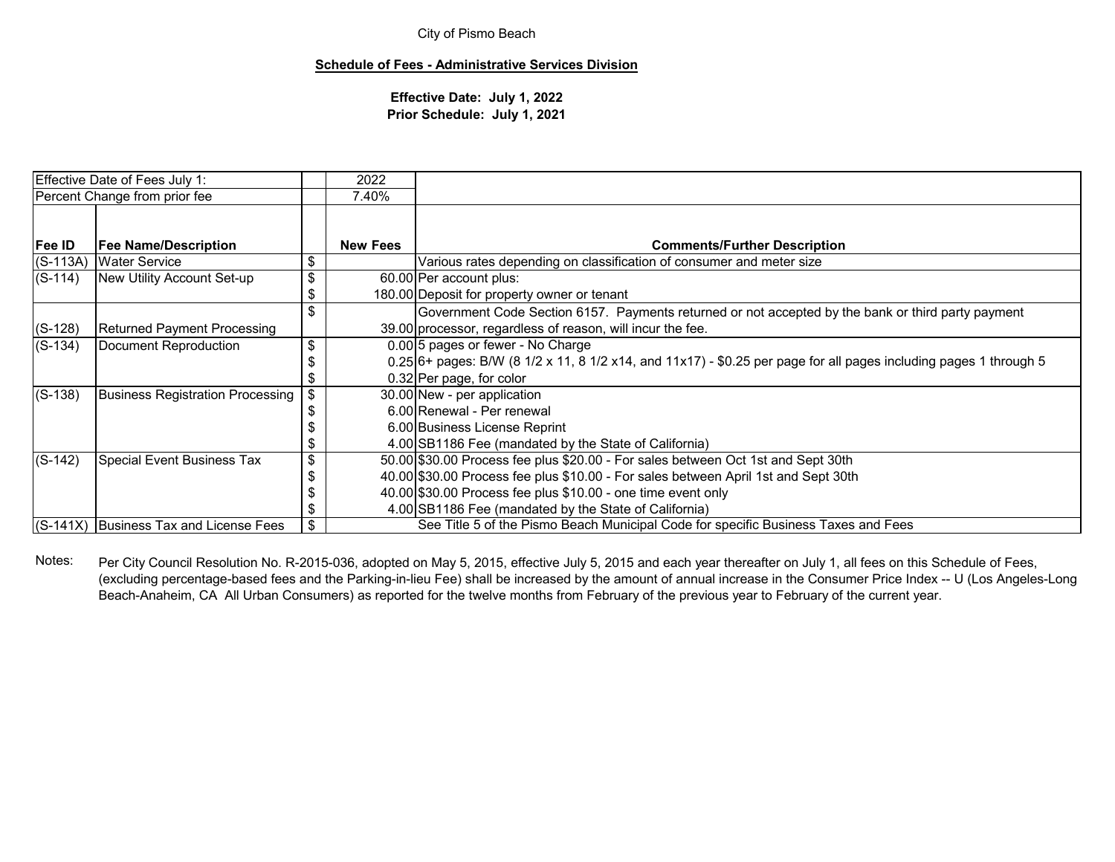### **Schedule of Fees - Administrative Services Division**

**Effective Date: July 1, 2022 Prior Schedule: July 1, 2021**

| Effective Date of Fees July 1:     |                                          | 2022            |                                                                                                                     |
|------------------------------------|------------------------------------------|-----------------|---------------------------------------------------------------------------------------------------------------------|
|                                    | Percent Change from prior fee            | 7.40%           |                                                                                                                     |
| Fee ID                             | <b>Fee Name/Description</b>              | <b>New Fees</b> | <b>Comments/Further Description</b>                                                                                 |
| $(S-113A)$                         | <b>Water Service</b>                     |                 | Various rates depending on classification of consumer and meter size                                                |
| $(S-114)$                          | New Utility Account Set-up               | \$              | 60.00 Per account plus:                                                                                             |
|                                    |                                          |                 | 180.00 Deposit for property owner or tenant                                                                         |
|                                    |                                          |                 | Government Code Section 6157. Payments returned or not accepted by the bank or third party payment                  |
| $(S-128)$                          | <b>Returned Payment Processing</b>       |                 | 39.00 processor, regardless of reason, will incur the fee.                                                          |
| $(S-134)$<br>Document Reproduction |                                          | \$              | 0.00 5 pages or fewer - No Charge                                                                                   |
|                                    |                                          |                 | $0.25$ 6+ pages: B/W (8 1/2 x 11, 8 1/2 x14, and 11x17) - \$0.25 per page for all pages including pages 1 through 5 |
|                                    |                                          |                 | 0.32 Per page, for color                                                                                            |
| $(S-138)$                          | <b>Business Registration Processing</b>  | \$              | 30.00 New - per application                                                                                         |
|                                    |                                          |                 | 6.00 Renewal - Per renewal                                                                                          |
|                                    |                                          |                 | 6.00 Business License Reprint                                                                                       |
|                                    |                                          |                 | 4.00 SB1186 Fee (mandated by the State of California)                                                               |
| $(S-142)$                          | Special Event Business Tax               | \$              | 50.00 \$30.00 Process fee plus \$20.00 - For sales between Oct 1st and Sept 30th                                    |
|                                    |                                          |                 | 40.00 \$30.00 Process fee plus \$10.00 - For sales between April 1st and Sept 30th                                  |
|                                    |                                          |                 | 40.00 \$30.00 Process fee plus \$10.00 - one time event only                                                        |
|                                    |                                          |                 | 4.00 SB1186 Fee (mandated by the State of California)                                                               |
|                                    | $(S-141X)$ Business Tax and License Fees | \$              | See Title 5 of the Pismo Beach Municipal Code for specific Business Taxes and Fees                                  |

Notes: Per City Council Resolution No. R-2015-036, adopted on May 5, 2015, effective July 5, 2015 and each year thereafter on July 1, all fees on this Schedule of Fees, (excluding percentage-based fees and the Parking-in-lieu Fee) shall be increased by the amount of annual increase in the Consumer Price Index -- U (Los Angeles-Long Beach-Anaheim, CA All Urban Consumers) as reported for the twelve months from February of the previous year to February of the current year.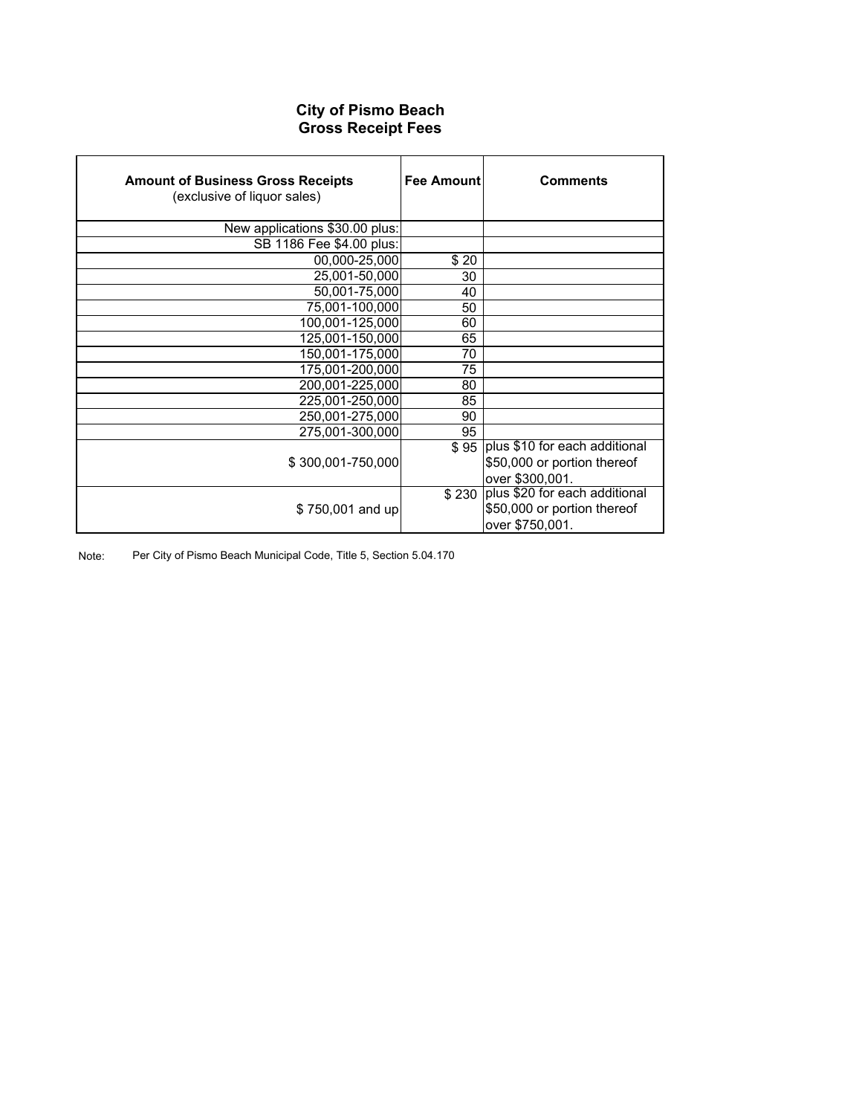## **City of Pismo Beach Gross Receipt Fees**

| <b>Amount of Business Gross Receipts</b><br>(exclusive of liquor sales) | Fee Amount | <b>Comments</b>                      |
|-------------------------------------------------------------------------|------------|--------------------------------------|
| New applications \$30.00 plus:                                          |            |                                      |
| SB 1186 Fee \$4.00 plus:                                                |            |                                      |
| $\overline{00,000}$ -25,000                                             | \$20       |                                      |
| 25,001-50,000                                                           | 30         |                                      |
| 50,001-75,000                                                           | 40         |                                      |
| 75,001-100,000                                                          | 50         |                                      |
| 100,001-125,000                                                         | 60         |                                      |
| 125,001-150,000                                                         | 65         |                                      |
| 150,001-175,000                                                         | 70         |                                      |
| 175,001-200,000                                                         | 75         |                                      |
| 200,001-225,000                                                         | 80         |                                      |
| 225,001-250,000                                                         | 85         |                                      |
| 250,001-275,000                                                         | 90         |                                      |
| 275.001-300.000                                                         | 95         |                                      |
|                                                                         |            | \$95   plus \$10 for each additional |
| \$300,001-750,000                                                       |            | \$50,000 or portion thereof          |
|                                                                         |            | over \$300,001.                      |
|                                                                         | \$230      | plus \$20 for each additional        |
| \$750,001 and up                                                        |            | \$50,000 or portion thereof          |
|                                                                         |            | over \$750,001.                      |

Note: Per City of Pismo Beach Municipal Code, Title 5, Section 5.04.170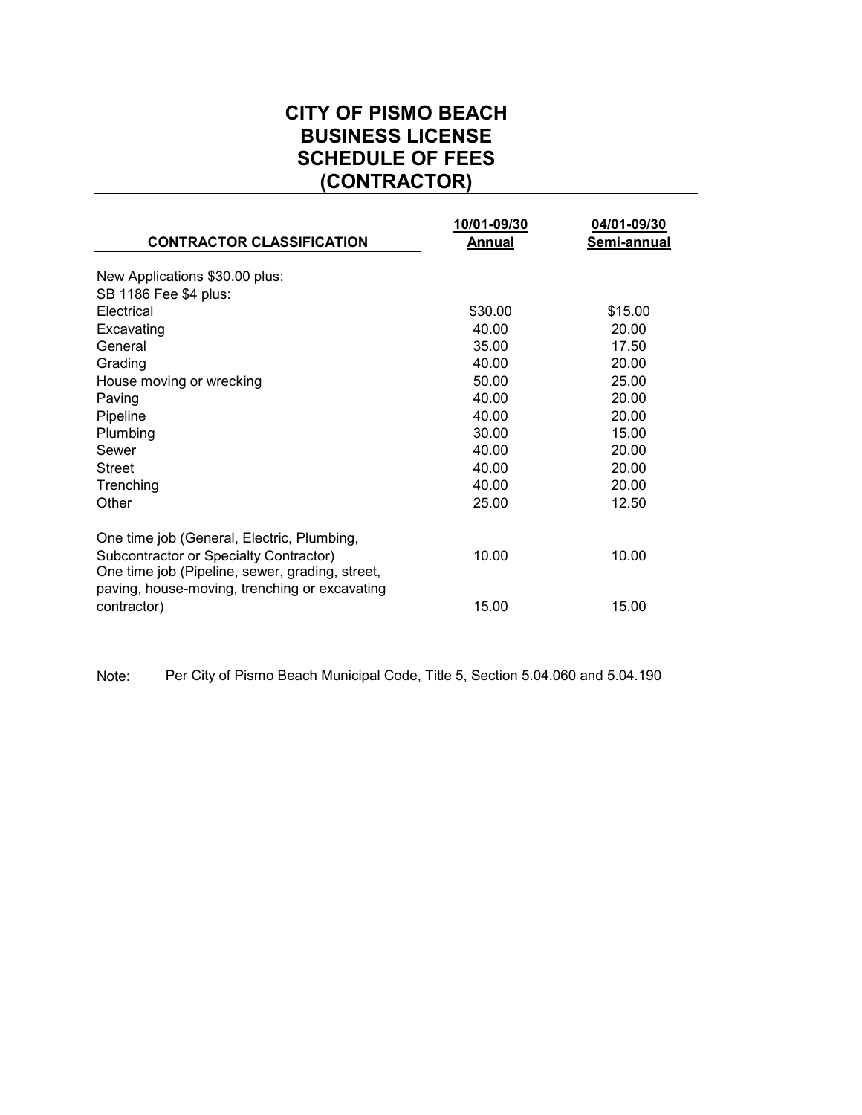## **CITY OF PISMO BEACH BUSINESS LICENSE SCHEDULE OF FEES (CONTRACTOR)**

| <b>CONTRACTOR CLASSIFICATION</b>                                                                 | 10/01-09/30<br>Annual | 04/01-09/30<br>Semi-annual |
|--------------------------------------------------------------------------------------------------|-----------------------|----------------------------|
| New Applications \$30.00 plus:                                                                   |                       |                            |
| SB 1186 Fee \$4 plus:                                                                            |                       |                            |
| Electrical                                                                                       | \$30.00               | \$15.00                    |
| Excavating                                                                                       | 40.00                 | 20.00                      |
| General                                                                                          | 35.00                 | 17.50                      |
| Grading                                                                                          | 40.00                 | 20.00                      |
| House moving or wrecking                                                                         | 50.00                 | 25.00                      |
| Paving                                                                                           | 40.00                 | 20.00                      |
| Pipeline                                                                                         | 40.00                 | 20.00                      |
| Plumbing                                                                                         | 30.00                 | 15.00                      |
| Sewer                                                                                            | 40.00                 | 20.00                      |
| <b>Street</b>                                                                                    | 40.00                 | 20.00                      |
| Trenching                                                                                        | 40.00                 | 20.00                      |
| Other                                                                                            | 25.00                 | 12.50                      |
| One time job (General, Electric, Plumbing,<br>Subcontractor or Specialty Contractor)             | 10.00                 | 10.00                      |
| One time job (Pipeline, sewer, grading, street,<br>paving, house-moving, trenching or excavating |                       |                            |
| contractor)                                                                                      | 15.00                 | 15.00                      |

Note: Per City of Pismo Beach Municipal Code, Title 5, Section 5.04.060 and 5.04.190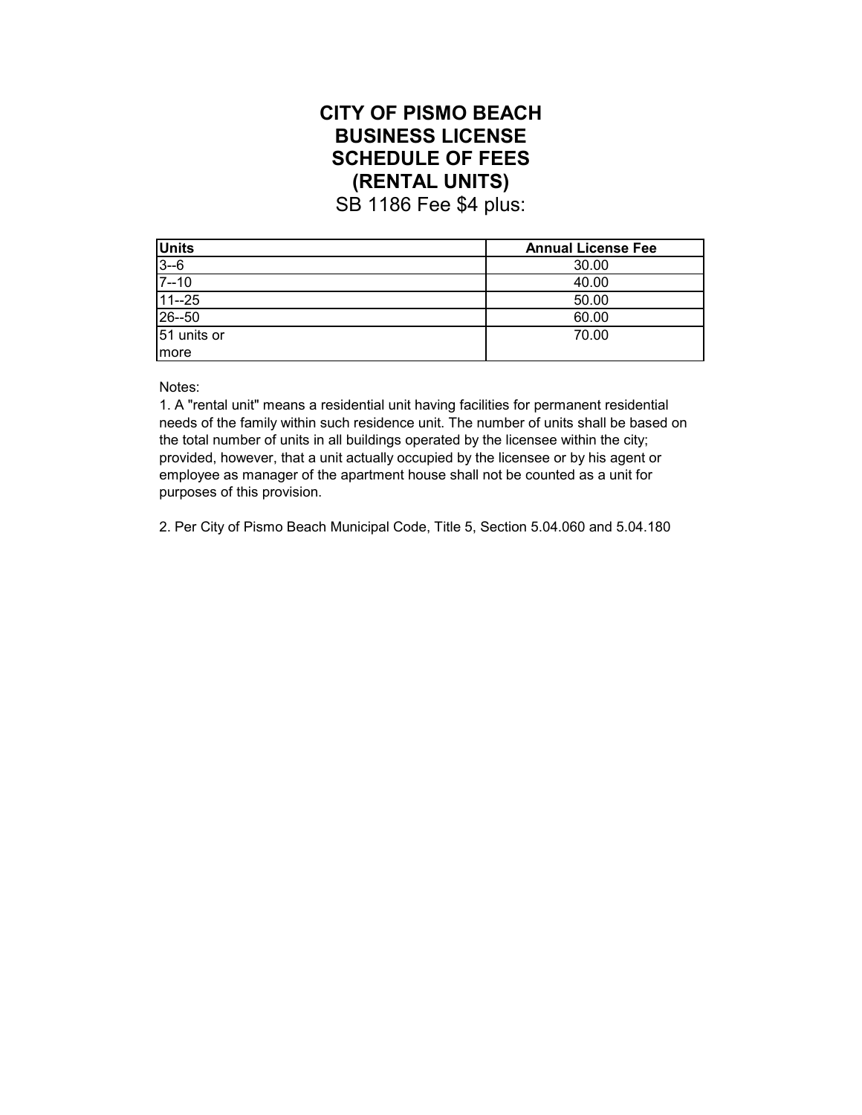## **CITY OF PISMO BEACH BUSINESS LICENSE SCHEDULE OF FEES (RENTAL UNITS)**

SB 1186 Fee \$4 plus:

| <b>Units</b> | <b>Annual License Fee</b> |
|--------------|---------------------------|
| $3 - 6$      | 30.00                     |
| $7 - 10$     | 40.00                     |
| $11 - 25$    | 50.00                     |
| 26--50       | 60.00                     |
| 51 units or  | 70.00                     |
| Imore        |                           |

Notes:

1. A "rental unit" means a residential unit having facilities for permanent residential needs of the family within such residence unit. The number of units shall be based on the total number of units in all buildings operated by the licensee within the city; provided, however, that a unit actually occupied by the licensee or by his agent or employee as manager of the apartment house shall not be counted as a unit for purposes of this provision.

2. Per City of Pismo Beach Municipal Code, Title 5, Section 5.04.060 and 5.04.180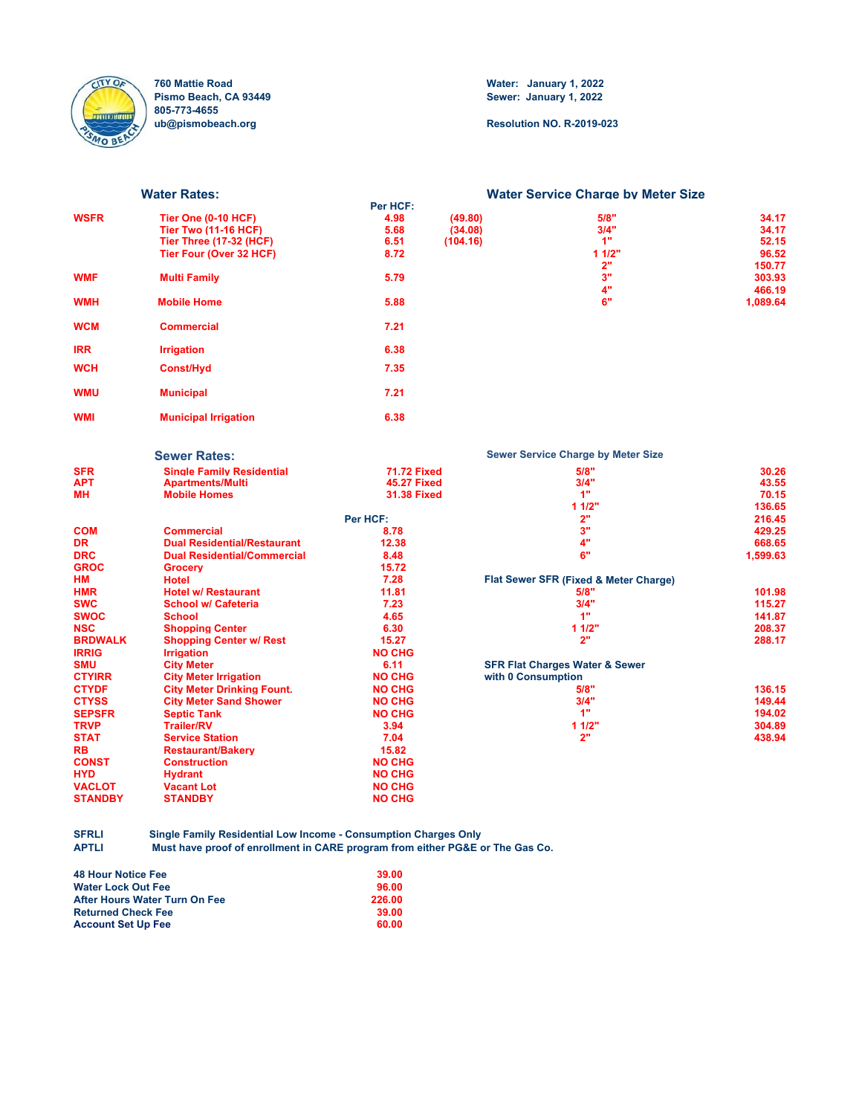

**760 Mattie Road Water: January 1, 2022 805-773-4655**

**Sewer: January 1, 2022** 

**ub@pismobeach.org Resolution NO. R-2019-023**

|               | <b>Water Rates:</b>                        |                    |          | <b>Water Service Charge by Meter Size</b>     |                  |
|---------------|--------------------------------------------|--------------------|----------|-----------------------------------------------|------------------|
|               |                                            | Per HCF:           |          |                                               |                  |
| WSFR          | <b>Tier One (0-10 HCF)</b>                 | 4.98               | (49.80)  | 5/8"                                          | 34.17            |
|               | <b>Tier Two (11-16 HCF)</b>                | 5.68               | (34.08)  | 3/4"                                          | 34.17            |
|               | <b>Tier Three (17-32 (HCF)</b>             | 6.51               | (104.16) | 1"                                            | 52.15            |
|               | Tier Four (Over 32 HCF)                    | 8.72               |          | 11/2"<br>2"                                   | 96.52            |
| WMF           | <b>Multi Family</b>                        | 5.79               |          | 3"                                            | 150.77<br>303.93 |
|               |                                            |                    |          | 4"                                            | 466.19           |
| WMH           | <b>Mobile Home</b>                         | 5.88               |          | 6"                                            | 1,089.64         |
| WCM           | <b>Commercial</b>                          | 7.21               |          |                                               |                  |
| IRR           | <b>Irrigation</b>                          | 6.38               |          |                                               |                  |
| WCH           | <b>Const/Hyd</b>                           | 7.35               |          |                                               |                  |
| WMU           | <b>Municipal</b>                           | 7.21               |          |                                               |                  |
| WMI           | <b>Municipal Irrigation</b>                | 6.38               |          |                                               |                  |
|               | <b>Sewer Rates:</b>                        |                    |          | <b>Sewer Service Charge by Meter Size</b>     |                  |
| SFR           | <b>Single Family Residential</b>           | <b>71.72 Fixed</b> |          | 5/8"                                          | 30.26            |
| APT           | <b>Apartments/Multi</b>                    | <b>45.27 Fixed</b> |          | 3/4"                                          | 43.55            |
| MН            | <b>Mobile Homes</b>                        | <b>31.38 Fixed</b> |          | 1"                                            | 70.15            |
|               |                                            |                    |          | 11/2"                                         | 136.65           |
|               |                                            | Per HCF:           |          | 2"                                            | 216.45           |
| COM           | <b>Commercial</b>                          | 8.78               |          | 3"                                            | 429.25           |
| DR            | <b>Dual Residential/Restaurant</b>         | 12.38              |          | 4"                                            | 668.65           |
| DRC           | <b>Dual Residential/Commercial</b>         | 8.48               |          | 6"                                            | 1,599.63         |
| <b>GROC</b>   | <b>Grocerv</b>                             | 15.72              |          |                                               |                  |
| НM            | <b>Hotel</b><br><b>Hotel w/ Restaurant</b> | 7.28<br>11.81      |          | Flat Sewer SFR (Fixed & Meter Charge)<br>5/8" | 101.98           |
| HMR<br>swc    | <b>School w/ Cafeteria</b>                 | 7.23               |          | 3/4"                                          | 115.27           |
| swoc          | <b>School</b>                              | 4.65               |          | 1"                                            | 141.87           |
| NSC           | <b>Shopping Center</b>                     | 6.30               |          | 11/2"                                         | 208.37           |
| BRDWALK       | <b>Shopping Center w/ Rest</b>             | 15.27              |          | 2"                                            | 288.17           |
| <b>IRRIG</b>  | <b>Irrigation</b>                          | <b>NO CHG</b>      |          |                                               |                  |
| SMU           | <b>City Meter</b>                          | 6.11               |          | <b>SFR Flat Charges Water &amp; Sewer</b>     |                  |
| <b>CTYIRR</b> | <b>City Meter Irrigation</b>               | <b>NO CHG</b>      |          | with 0 Consumption                            |                  |
| CTYDF         | <b>City Meter Drinking Fount.</b>          | <b>NO CHG</b>      |          | 5/8"                                          | 136.15           |
| <b>CTYSS</b>  | <b>City Meter Sand Shower</b>              | <b>NO CHG</b>      |          | 3/4"                                          | 149.44           |
| <b>SEPSFR</b> | <b>Septic Tank</b>                         | <b>NO CHG</b>      |          | 1"                                            | 194.02           |
| <b>TRVP</b>   | <b>Trailer/RV</b>                          | 3.94               |          | 11/2"                                         | 304.89           |
| <b>STAT</b>   | <b>Service Station</b>                     | 7.04               |          | 2"                                            | 438.94           |
| RB            | <b>Restaurant/Bakerv</b>                   | 15.82              |          |                                               |                  |
| CONST         | <b>Construction</b>                        | <b>NO CHG</b>      |          |                                               |                  |
| HYD           | <b>Hydrant</b>                             | <b>NO CHG</b>      |          |                                               |                  |
|               |                                            |                    |          |                                               |                  |
| VACLOT        | <b>Vacant Lot</b>                          | <b>NO CHG</b>      |          |                                               |                  |

**SFRLI Single Family Residential Low Income - Consumption Charges Only** Must have proof of enrollment in CARE program from either PG&E or The Gas Co.

| <b>48 Hour Notice Fee</b>     | 39.00  |
|-------------------------------|--------|
| <b>Water Lock Out Fee</b>     | 96.00  |
| After Hours Water Turn On Fee | 226.00 |
| <b>Returned Check Fee</b>     | 39.00  |
| <b>Account Set Up Fee</b>     | 60.00  |
|                               |        |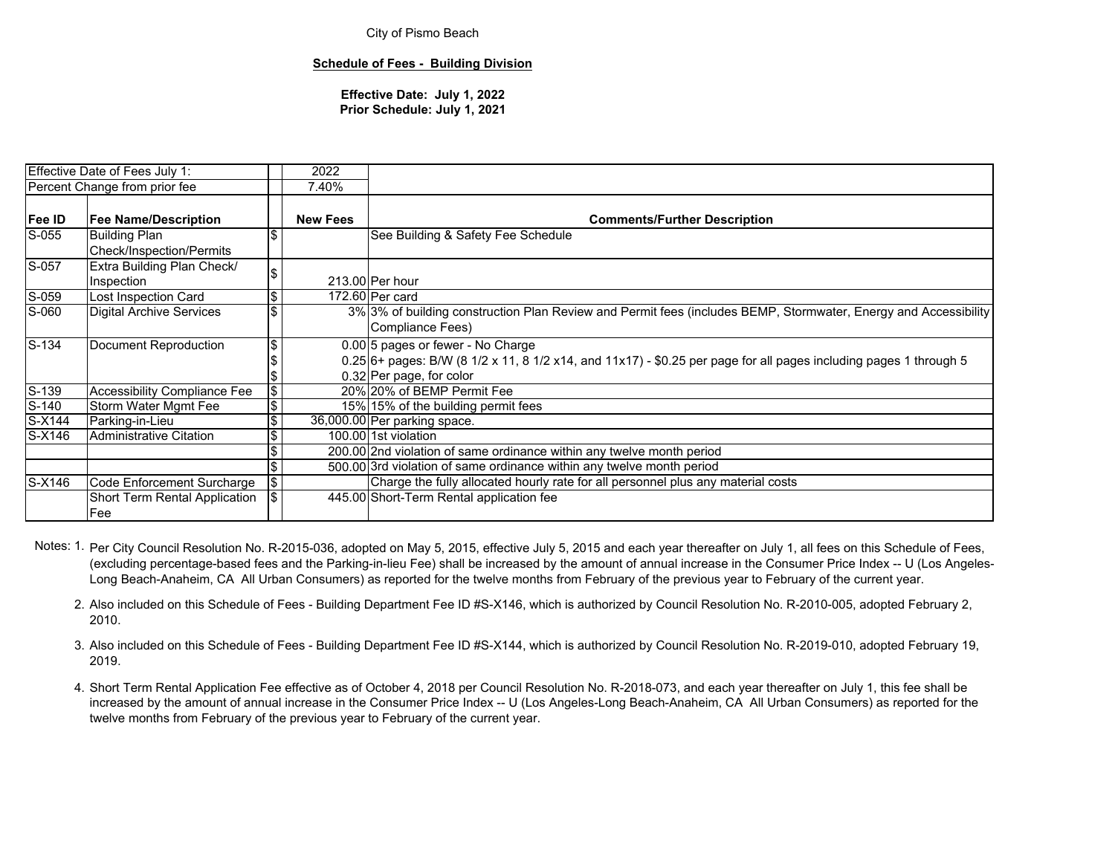#### **Schedule of Fees - Building Division**

**Effective Date: July 1, 2022 Prior Schedule: July 1, 2021**

|                             | <b>Effective Date of Fees July 1:</b>            |     | 2022            |                                                                                                                                                                                    |
|-----------------------------|--------------------------------------------------|-----|-----------------|------------------------------------------------------------------------------------------------------------------------------------------------------------------------------------|
|                             | Percent Change from prior fee                    |     | 7.40%           |                                                                                                                                                                                    |
| Fee ID                      | <b>Fee Name/Description</b>                      |     | <b>New Fees</b> | <b>Comments/Further Description</b>                                                                                                                                                |
| S-055                       | <b>Building Plan</b><br>Check/Inspection/Permits |     |                 | See Building & Safety Fee Schedule                                                                                                                                                 |
| $S-057$                     | Extra Building Plan Check/<br>Inspection         |     |                 | 213.00 Per hour                                                                                                                                                                    |
| S-059                       | Lost Inspection Card                             | \$  |                 | 172.60 Per card                                                                                                                                                                    |
| $S-060$                     | <b>Digital Archive Services</b>                  |     |                 | 3% 3% of building construction Plan Review and Permit fees (includes BEMP, Stormwater, Energy and Accessibility<br>Compliance Fees)                                                |
| $S-134$                     | Document Reproduction                            | \$  |                 | 0.00 5 pages or fewer - No Charge<br>0.25 6+ pages: B/W (8 1/2 x 11, 8 1/2 x14, and 11x17) - \$0.25 per page for all pages including pages 1 through 5<br>0.32 Per page, for color |
| S-139                       | <b>Accessibility Compliance Fee</b>              | \$  |                 | 20% 20% of BEMP Permit Fee                                                                                                                                                         |
| $S-140$                     | Storm Water Mgmt Fee                             | \$  |                 | 15% 15% of the building permit fees                                                                                                                                                |
| S-X144                      | Parking-in-Lieu                                  |     |                 | 36,000.00 Per parking space.                                                                                                                                                       |
| $\overline{\text{S}}$ -X146 | <b>Administrative Citation</b>                   | \$  |                 | 100.00 1st violation                                                                                                                                                               |
|                             |                                                  |     |                 | 200.00 2nd violation of same ordinance within any twelve month period                                                                                                              |
|                             |                                                  |     |                 | 500.00 3rd violation of same ordinance within any twelve month period                                                                                                              |
| $S-X146$                    | Code Enforcement Surcharge                       | 1\$ |                 | Charge the fully allocated hourly rate for all personnel plus any material costs                                                                                                   |
|                             | Short Term Rental Application<br>Fee             |     |                 | 445.00 Short-Term Rental application fee                                                                                                                                           |

- Notes: 1. Per City Council Resolution No. R-2015-036, adopted on May 5, 2015, effective July 5, 2015 and each year thereafter on July 1, all fees on this Schedule of Fees, (excluding percentage-based fees and the Parking-in-lieu Fee) shall be increased by the amount of annual increase in the Consumer Price Index -- U (Los Angeles-Long Beach-Anaheim, CA All Urban Consumers) as reported for the twelve months from February of the previous year to February of the current year.
	- 2. Also included on this Schedule of Fees Building Department Fee ID #S-X146, which is authorized by Council Resolution No. R-2010-005, adopted February 2, 2010.
	- 3. Also included on this Schedule of Fees Building Department Fee ID #S-X144, which is authorized by Council Resolution No. R-2019-010, adopted February 19, 2019.
	- 4. Short Term Rental Application Fee effective as of October 4, 2018 per Council Resolution No. R-2018-073, and each year thereafter on July 1, this fee shall be increased by the amount of annual increase in the Consumer Price Index -- U (Los Angeles-Long Beach-Anaheim, CA All Urban Consumers) as reported for the twelve months from February of the previous year to February of the current year.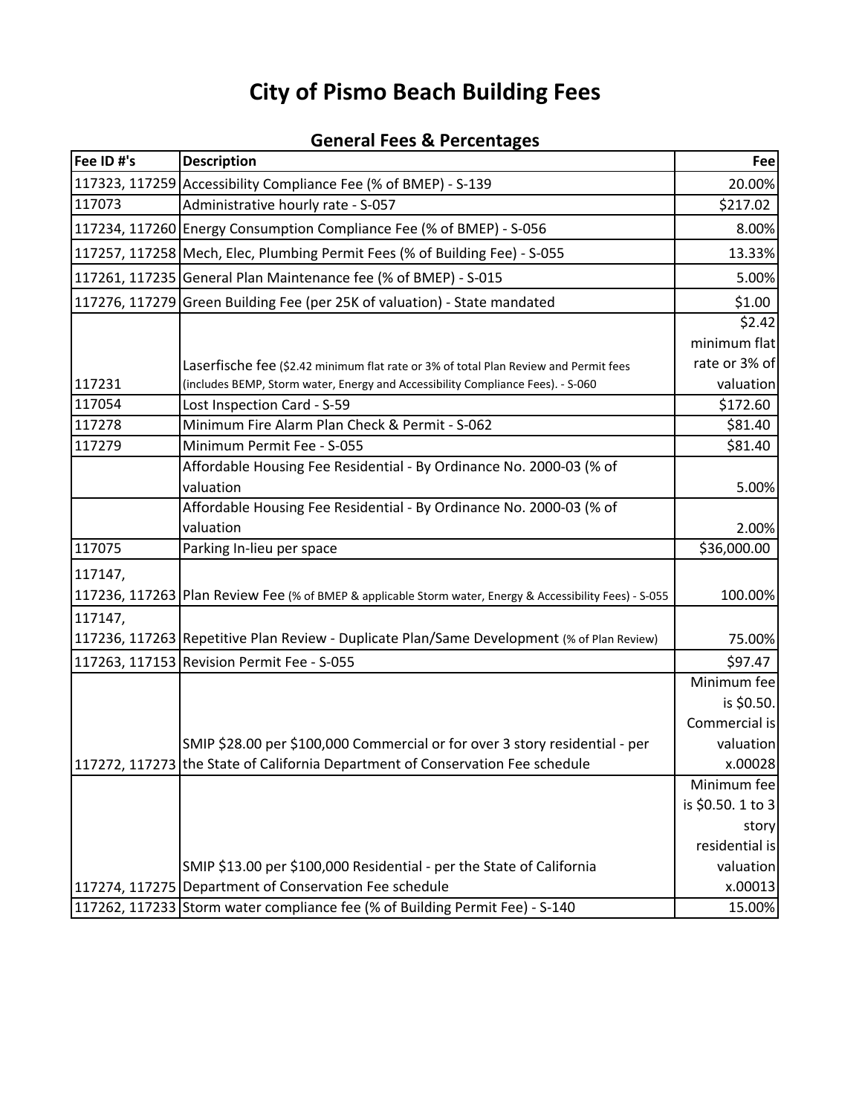| Fee ID #'s | <b>Description</b>                                                                                       | Fee               |
|------------|----------------------------------------------------------------------------------------------------------|-------------------|
|            | 117323, 117259 Accessibility Compliance Fee (% of BMEP) - S-139                                          | 20.00%            |
| 117073     | Administrative hourly rate - S-057                                                                       | \$217.02          |
|            | 117234, 117260 Energy Consumption Compliance Fee (% of BMEP) - S-056                                     | 8.00%             |
|            | 117257, 117258 Mech, Elec, Plumbing Permit Fees (% of Building Fee) - S-055                              | 13.33%            |
|            | 117261, 117235 General Plan Maintenance fee (% of BMEP) - S-015                                          | 5.00%             |
|            | 117276, 117279 Green Building Fee (per 25K of valuation) - State mandated                                | \$1.00            |
|            |                                                                                                          | \$2.42            |
|            |                                                                                                          | minimum flat      |
|            | Laserfische fee (\$2.42 minimum flat rate or 3% of total Plan Review and Permit fees                     | rate or 3% of     |
| 117231     | (includes BEMP, Storm water, Energy and Accessibility Compliance Fees). - S-060                          | valuation         |
| 117054     | Lost Inspection Card - S-59                                                                              | \$172.60          |
| 117278     | Minimum Fire Alarm Plan Check & Permit - S-062                                                           | \$81.40           |
| 117279     | Minimum Permit Fee - S-055                                                                               | \$81.40           |
|            | Affordable Housing Fee Residential - By Ordinance No. 2000-03 (% of                                      |                   |
|            | valuation                                                                                                | 5.00%             |
|            | Affordable Housing Fee Residential - By Ordinance No. 2000-03 (% of                                      |                   |
|            | valuation                                                                                                | 2.00%             |
| 117075     | Parking In-lieu per space                                                                                | \$36,000.00       |
| 117147,    |                                                                                                          |                   |
|            | 117236, 117263 Plan Review Fee (% of BMEP & applicable Storm water, Energy & Accessibility Fees) - S-055 | 100.00%           |
| 117147,    |                                                                                                          |                   |
|            | 117236, 117263 Repetitive Plan Review - Duplicate Plan/Same Development (% of Plan Review)               | 75.00%            |
|            | 117263, 117153 Revision Permit Fee - S-055                                                               | \$97.47           |
|            |                                                                                                          | Minimum fee       |
|            |                                                                                                          | is \$0.50.        |
|            |                                                                                                          | Commercial is     |
|            | SMIP \$28.00 per \$100,000 Commercial or for over 3 story residential - per                              | valuation         |
|            | 117272, 117273 the State of California Department of Conservation Fee schedule                           | x.00028           |
|            |                                                                                                          | Minimum fee       |
|            |                                                                                                          | is \$0.50. 1 to 3 |
|            |                                                                                                          | story             |
|            |                                                                                                          | residential is    |
|            | SMIP \$13.00 per \$100,000 Residential - per the State of California                                     | valuation         |
|            | 117274, 117275 Department of Conservation Fee schedule                                                   | x.00013           |
|            | 117262, 117233 Storm water compliance fee (% of Building Permit Fee) - S-140                             | 15.00%            |

## **General Fees & Percentages**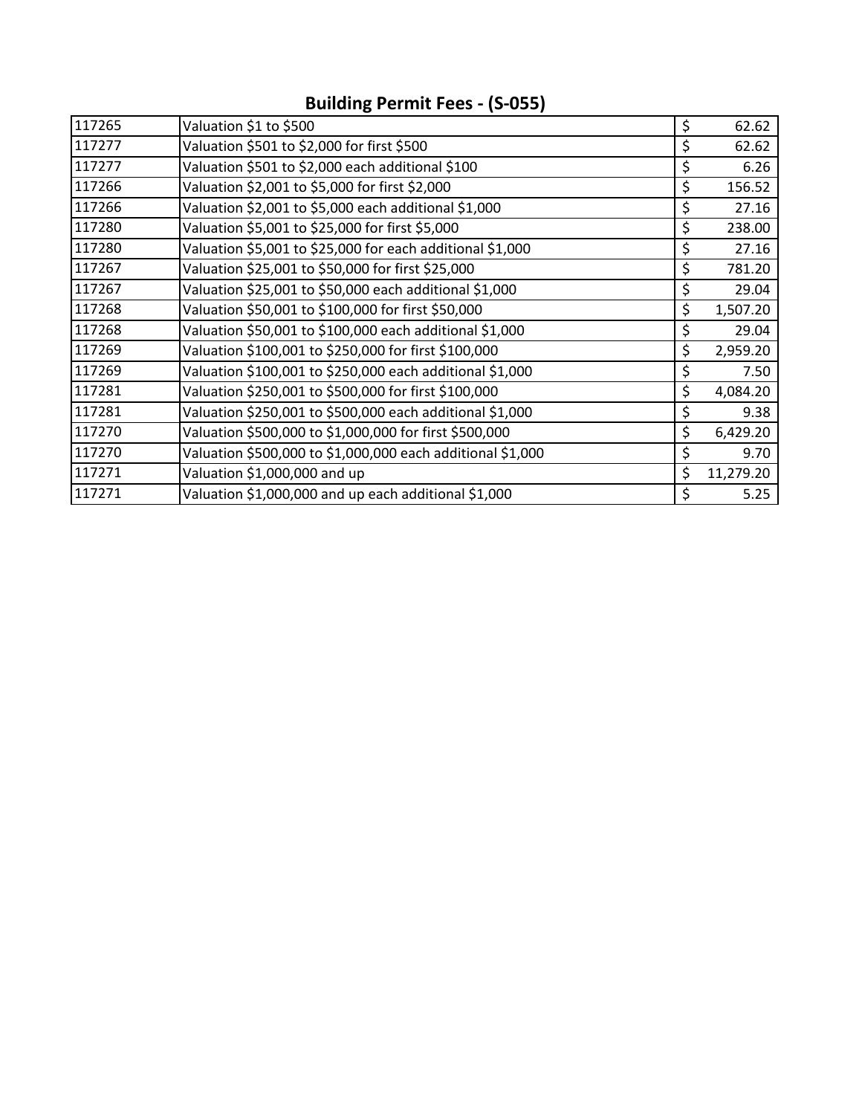| 117265 | Valuation \$1 to \$500                                     | \$<br>62.62     |
|--------|------------------------------------------------------------|-----------------|
| 117277 | Valuation \$501 to \$2,000 for first \$500                 | \$<br>62.62     |
| 117277 | Valuation \$501 to \$2,000 each additional \$100           | \$<br>6.26      |
| 117266 | Valuation \$2,001 to \$5,000 for first \$2,000             | \$<br>156.52    |
| 117266 | Valuation \$2,001 to \$5,000 each additional \$1,000       | \$<br>27.16     |
| 117280 | Valuation \$5,001 to \$25,000 for first \$5,000            | \$<br>238.00    |
| 117280 | Valuation \$5,001 to \$25,000 for each additional \$1,000  | \$<br>27.16     |
| 117267 | Valuation \$25,001 to \$50,000 for first \$25,000          | \$<br>781.20    |
| 117267 | Valuation \$25,001 to \$50,000 each additional \$1,000     | \$<br>29.04     |
| 117268 | Valuation \$50,001 to \$100,000 for first \$50,000         | \$<br>1,507.20  |
| 117268 | Valuation \$50,001 to \$100,000 each additional \$1,000    | \$<br>29.04     |
| 117269 | Valuation \$100,001 to \$250,000 for first \$100,000       | \$<br>2,959.20  |
| 117269 | Valuation \$100,001 to \$250,000 each additional \$1,000   | \$<br>7.50      |
| 117281 | Valuation \$250,001 to \$500,000 for first \$100,000       | \$<br>4,084.20  |
| 117281 | Valuation \$250,001 to \$500,000 each additional \$1,000   | \$<br>9.38      |
| 117270 | Valuation \$500,000 to \$1,000,000 for first \$500,000     | \$<br>6,429.20  |
| 117270 | Valuation \$500,000 to \$1,000,000 each additional \$1,000 | \$<br>9.70      |
| 117271 | Valuation \$1,000,000 and up                               | \$<br>11,279.20 |
| 117271 | Valuation \$1,000,000 and up each additional \$1,000       | \$<br>5.25      |

## **Building Permit Fees ‐ (S‐055)**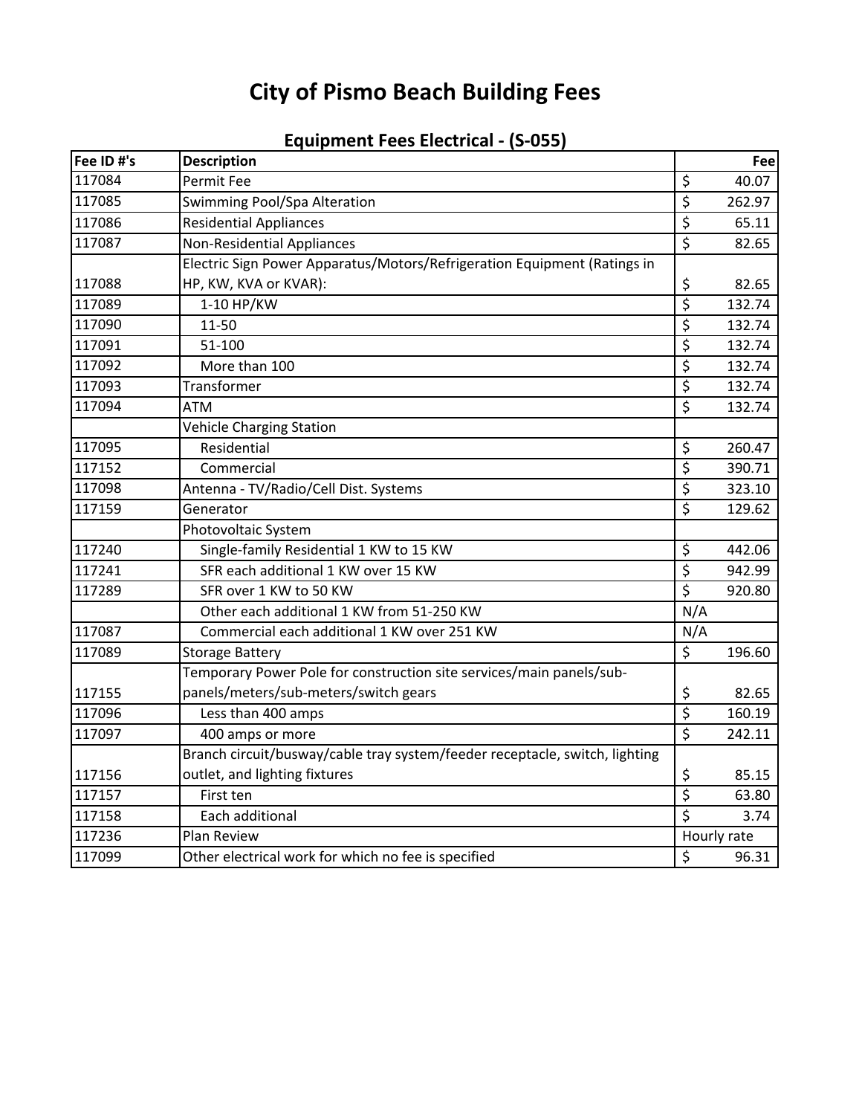| Fee ID #'s | <b>Description</b>                                                          |                                 | Fee    |
|------------|-----------------------------------------------------------------------------|---------------------------------|--------|
| 117084     | Permit Fee                                                                  | \$                              | 40.07  |
| 117085     | Swimming Pool/Spa Alteration                                                | $\overline{\xi}$                | 262.97 |
| 117086     | <b>Residential Appliances</b>                                               | \$                              | 65.11  |
| 117087     | <b>Non-Residential Appliances</b>                                           | $\overline{\xi}$                | 82.65  |
|            | Electric Sign Power Apparatus/Motors/Refrigeration Equipment (Ratings in    |                                 |        |
| 117088     | HP, KW, KVA or KVAR):                                                       | \$                              | 82.65  |
| 117089     | 1-10 HP/KW                                                                  | $\overline{\xi}$                | 132.74 |
| 117090     | 11-50                                                                       | \$                              | 132.74 |
| 117091     | 51-100                                                                      | \$                              | 132.74 |
| 117092     | More than 100                                                               | $\overline{\xi}$                | 132.74 |
| 117093     | Transformer                                                                 | $\overline{\xi}$                | 132.74 |
| 117094     | <b>ATM</b>                                                                  | \$                              | 132.74 |
|            | Vehicle Charging Station                                                    |                                 |        |
| 117095     | Residential                                                                 | \$                              | 260.47 |
| 117152     | Commercial                                                                  | $\overline{\boldsymbol{\zeta}}$ | 390.71 |
| 117098     | Antenna - TV/Radio/Cell Dist. Systems                                       | \$                              | 323.10 |
| 117159     | Generator                                                                   | $\overline{\xi}$                | 129.62 |
|            | Photovoltaic System                                                         |                                 |        |
| 117240     | Single-family Residential 1 KW to 15 KW                                     | \$                              | 442.06 |
| 117241     | SFR each additional 1 KW over 15 KW                                         | \$                              | 942.99 |
| 117289     | SFR over 1 KW to 50 KW                                                      | $\overline{\boldsymbol{\zeta}}$ | 920.80 |
|            | Other each additional 1 KW from 51-250 KW                                   | N/A                             |        |
| 117087     | Commercial each additional 1 KW over 251 KW                                 | N/A                             |        |
| 117089     | <b>Storage Battery</b>                                                      | \$                              | 196.60 |
|            | Temporary Power Pole for construction site services/main panels/sub-        |                                 |        |
| 117155     | panels/meters/sub-meters/switch gears                                       | \$                              | 82.65  |
| 117096     | Less than 400 amps                                                          | $\overline{\xi}$                | 160.19 |
| 117097     | 400 amps or more                                                            | $\overline{\xi}$                | 242.11 |
|            | Branch circuit/busway/cable tray system/feeder receptacle, switch, lighting |                                 |        |
| 117156     | outlet, and lighting fixtures                                               | \$                              | 85.15  |
| 117157     | First ten                                                                   | $\overline{\xi}$                | 63.80  |
| 117158     | Each additional                                                             | \$                              | 3.74   |
| 117236     | Plan Review                                                                 | Hourly rate                     |        |
| 117099     | Other electrical work for which no fee is specified                         | \$                              | 96.31  |

## **Equipment Fees Electrical ‐ (S‐055)**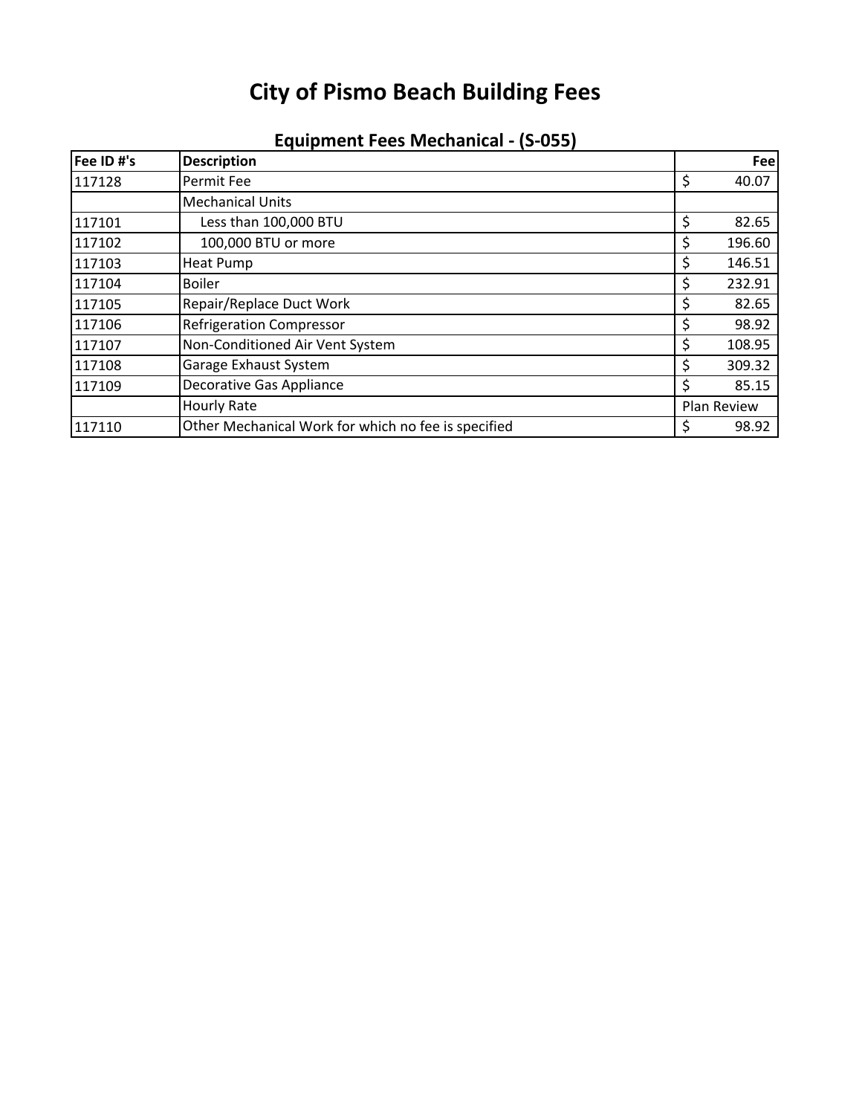| Fee ID #'s | <b>Description</b>                                  |             | Fee    |
|------------|-----------------------------------------------------|-------------|--------|
| 117128     | Permit Fee                                          | \$          | 40.07  |
|            | <b>Mechanical Units</b>                             |             |        |
| 117101     | Less than 100,000 BTU                               | \$          | 82.65  |
| 117102     | 100,000 BTU or more                                 |             | 196.60 |
| 117103     | <b>Heat Pump</b>                                    |             | 146.51 |
| 117104     | <b>Boiler</b>                                       |             | 232.91 |
| 117105     | Repair/Replace Duct Work                            |             | 82.65  |
| 117106     | <b>Refrigeration Compressor</b>                     |             | 98.92  |
| 117107     | Non-Conditioned Air Vent System                     |             | 108.95 |
| 117108     | Garage Exhaust System                               |             | 309.32 |
| 117109     | <b>Decorative Gas Appliance</b>                     |             | 85.15  |
|            | <b>Hourly Rate</b>                                  | Plan Review |        |
| 117110     | Other Mechanical Work for which no fee is specified |             | 98.92  |

## **Equipment Fees Mechanical ‐ (S‐055)**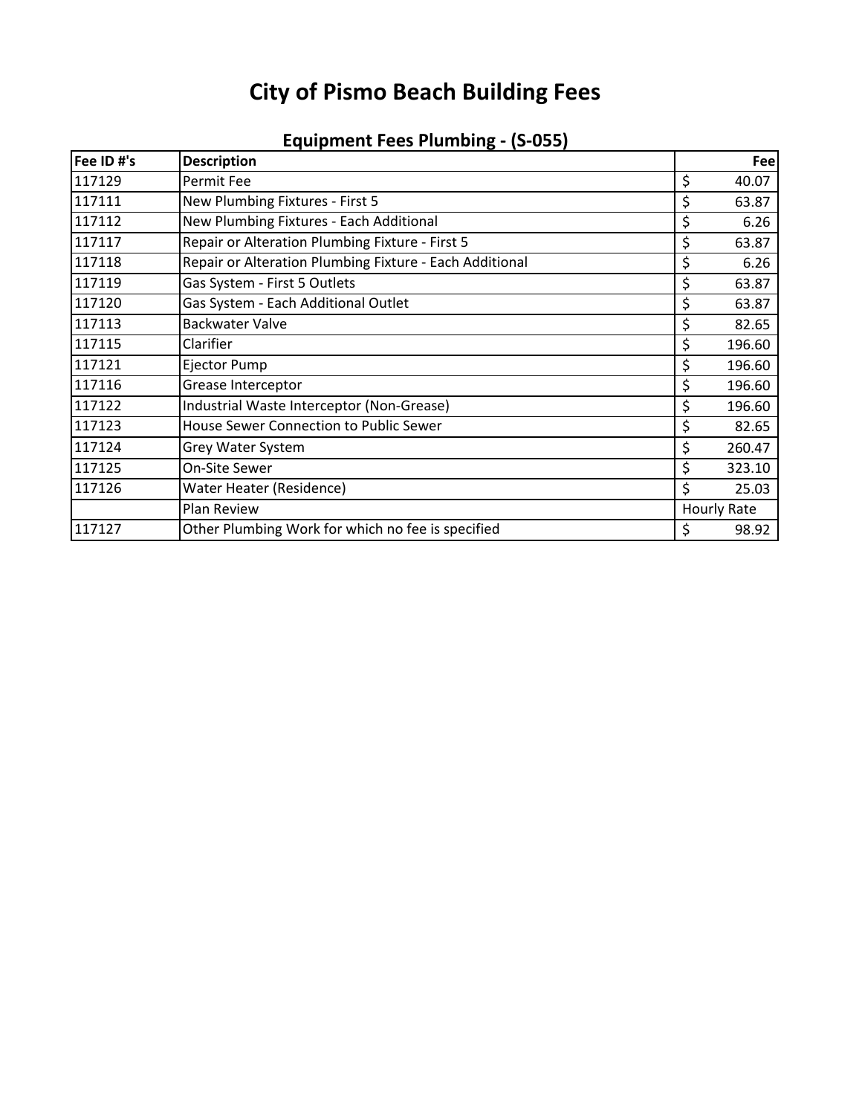| Fee ID #'s | <b>Description</b>                                      |    | Fee                |
|------------|---------------------------------------------------------|----|--------------------|
| 117129     | Permit Fee                                              | \$ | 40.07              |
| 117111     | New Plumbing Fixtures - First 5                         |    | 63.87              |
| 117112     | New Plumbing Fixtures - Each Additional                 | \$ | 6.26               |
| 117117     | Repair or Alteration Plumbing Fixture - First 5         | \$ | 63.87              |
| 117118     | Repair or Alteration Plumbing Fixture - Each Additional | \$ | 6.26               |
| 117119     | Gas System - First 5 Outlets                            | \$ | 63.87              |
| 117120     | Gas System - Each Additional Outlet                     | \$ | 63.87              |
| 117113     | <b>Backwater Valve</b>                                  | \$ | 82.65              |
| 117115     | Clarifier                                               | \$ | 196.60             |
| 117121     | Ejector Pump                                            | \$ | 196.60             |
| 117116     | Grease Interceptor                                      | \$ | 196.60             |
| 117122     | Industrial Waste Interceptor (Non-Grease)               | \$ | 196.60             |
| 117123     | House Sewer Connection to Public Sewer                  | \$ | 82.65              |
| 117124     | Grey Water System                                       | \$ | 260.47             |
| 117125     | On-Site Sewer                                           | \$ | 323.10             |
| 117126     | Water Heater (Residence)                                | Ś. | 25.03              |
|            | Plan Review                                             |    | <b>Hourly Rate</b> |
| 117127     | Other Plumbing Work for which no fee is specified       | \$ | 98.92              |

## **Equipment Fees Plumbing ‐ (S‐055)**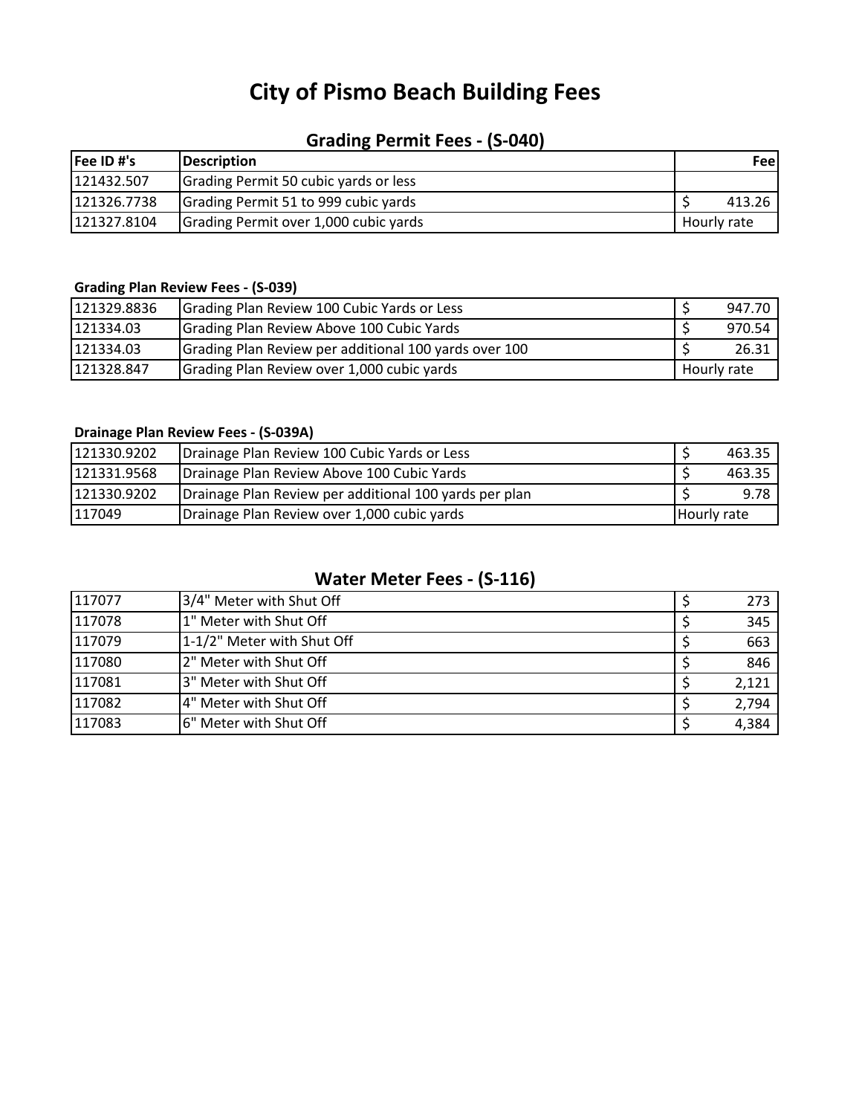## **Grading Permit Fees ‐ (S‐040)**

| Fee ID #'s  | <b>IDescription</b>                   |             | <b>Feel</b> |
|-------------|---------------------------------------|-------------|-------------|
| 121432.507  | Grading Permit 50 cubic yards or less |             |             |
| 121326.7738 | Grading Permit 51 to 999 cubic yards  |             | 413.26      |
| 121327.8104 | Grading Permit over 1,000 cubic yards | Hourly rate |             |

## **Grading Plan Review Fees ‐ (S‐039)**

| 121329.8836 | Grading Plan Review 100 Cubic Yards or Less           |             | 947.70 |
|-------------|-------------------------------------------------------|-------------|--------|
| 121334.03   | Grading Plan Review Above 100 Cubic Yards             |             | 970.54 |
| 121334.03   | Grading Plan Review per additional 100 yards over 100 |             | 26.31  |
| 121328.847  | Grading Plan Review over 1,000 cubic yards            | Hourly rate |        |

## **Drainage Plan Review Fees ‐ (S‐039A)**

| 121330.9202 | Drainage Plan Review 100 Cubic Yards or Less           |             | 463.35 |
|-------------|--------------------------------------------------------|-------------|--------|
| 121331.9568 | Drainage Plan Review Above 100 Cubic Yards             |             | 463.35 |
| 121330.9202 | Drainage Plan Review per additional 100 yards per plan |             | 9.78   |
| 117049      | Drainage Plan Review over 1,000 cubic yards            | Hourly rate |        |

## **Water Meter Fees ‐ (S‐116)**

| 117077 | 3/4" Meter with Shut Off   | 273   |
|--------|----------------------------|-------|
| 117078 | 1" Meter with Shut Off     | 345   |
| 117079 | 1-1/2" Meter with Shut Off | 663   |
| 117080 | 2" Meter with Shut Off     | 846   |
| 117081 | 3" Meter with Shut Off     | 2,121 |
| 117082 | 4" Meter with Shut Off     | 2,794 |
| 117083 | l6" Meter with Shut Off    | 4,384 |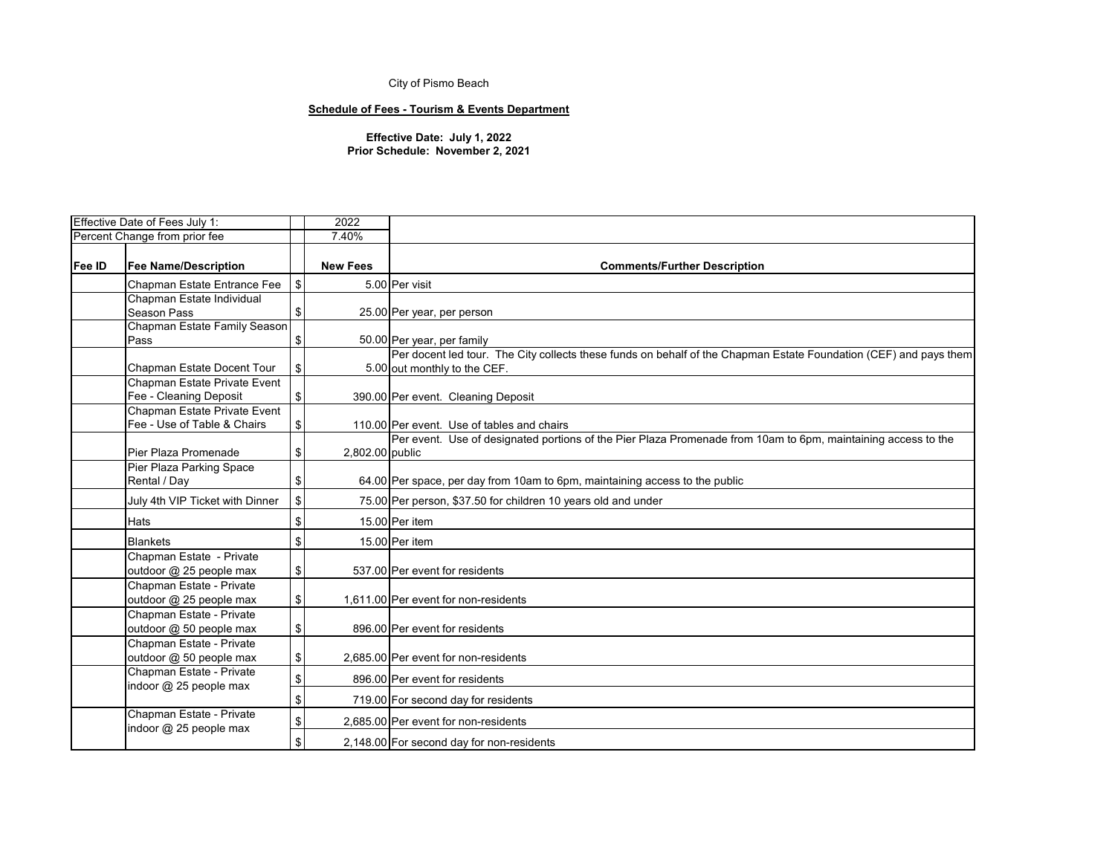## **Schedule of Fees - Tourism & Events Department**

|        | Effective Date of Fees July 1:                              |              | 2022            |                                                                                                                                                 |
|--------|-------------------------------------------------------------|--------------|-----------------|-------------------------------------------------------------------------------------------------------------------------------------------------|
|        | Percent Change from prior fee                               |              | 7.40%           |                                                                                                                                                 |
| Fee ID | <b>Fee Name/Description</b>                                 |              | <b>New Fees</b> | <b>Comments/Further Description</b>                                                                                                             |
|        | Chapman Estate Entrance Fee                                 | $\mathbb{S}$ |                 | 5.00 Per visit                                                                                                                                  |
|        | Chapman Estate Individual                                   |              |                 |                                                                                                                                                 |
|        | Season Pass                                                 | \$           |                 | 25.00 Per year, per person                                                                                                                      |
|        | Chapman Estate Family Season                                |              |                 |                                                                                                                                                 |
|        | Pass                                                        | \$           |                 | 50.00 Per year, per family<br>Per docent led tour. The City collects these funds on behalf of the Chapman Estate Foundation (CEF) and pays them |
|        | Chapman Estate Docent Tour                                  | \$           |                 | 5.00 out monthly to the CEF.                                                                                                                    |
|        | Chapman Estate Private Event                                |              |                 |                                                                                                                                                 |
|        | Fee - Cleaning Deposit                                      | \$           |                 | 390.00 Per event. Cleaning Deposit                                                                                                              |
|        | Chapman Estate Private Event<br>Fee - Use of Table & Chairs | \$           |                 | 110.00 Per event. Use of tables and chairs                                                                                                      |
|        |                                                             |              |                 | Per event. Use of designated portions of the Pier Plaza Promenade from 10am to 6pm, maintaining access to the                                   |
|        | Pier Plaza Promenade                                        | \$           | 2,802.00 public |                                                                                                                                                 |
|        | Pier Plaza Parking Space                                    |              |                 |                                                                                                                                                 |
|        | Rental / Day                                                | \$           |                 | 64.00 Per space, per day from 10am to 6pm, maintaining access to the public                                                                     |
|        | July 4th VIP Ticket with Dinner                             | \$           |                 | 75.00 Per person, \$37.50 for children 10 years old and under                                                                                   |
|        | <b>Hats</b>                                                 | \$           |                 | 15.00 Per item                                                                                                                                  |
|        | <b>Blankets</b>                                             | \$           |                 | 15.00 Per item                                                                                                                                  |
|        | Chapman Estate - Private                                    |              |                 |                                                                                                                                                 |
|        | outdoor @ 25 people max                                     | \$           |                 | 537.00 Per event for residents                                                                                                                  |
|        | Chapman Estate - Private                                    |              |                 |                                                                                                                                                 |
|        | outdoor @ 25 people max                                     | \$           |                 | 1,611.00 Per event for non-residents                                                                                                            |
|        | Chapman Estate - Private                                    |              |                 |                                                                                                                                                 |
|        | outdoor @ 50 people max                                     | \$           |                 | 896.00 Per event for residents                                                                                                                  |
|        | Chapman Estate - Private                                    |              |                 |                                                                                                                                                 |
|        | outdoor @ 50 people max                                     | \$           |                 | 2.685.00 Per event for non-residents                                                                                                            |
|        | Chapman Estate - Private<br>indoor @ 25 people max          | \$           |                 | 896.00 Per event for residents                                                                                                                  |
|        |                                                             | \$           |                 | 719.00 For second day for residents                                                                                                             |
|        | Chapman Estate - Private<br>indoor @ 25 people max          | \$           |                 | 2.685.00 Per event for non-residents                                                                                                            |
|        |                                                             | \$           |                 | 2,148.00 For second day for non-residents                                                                                                       |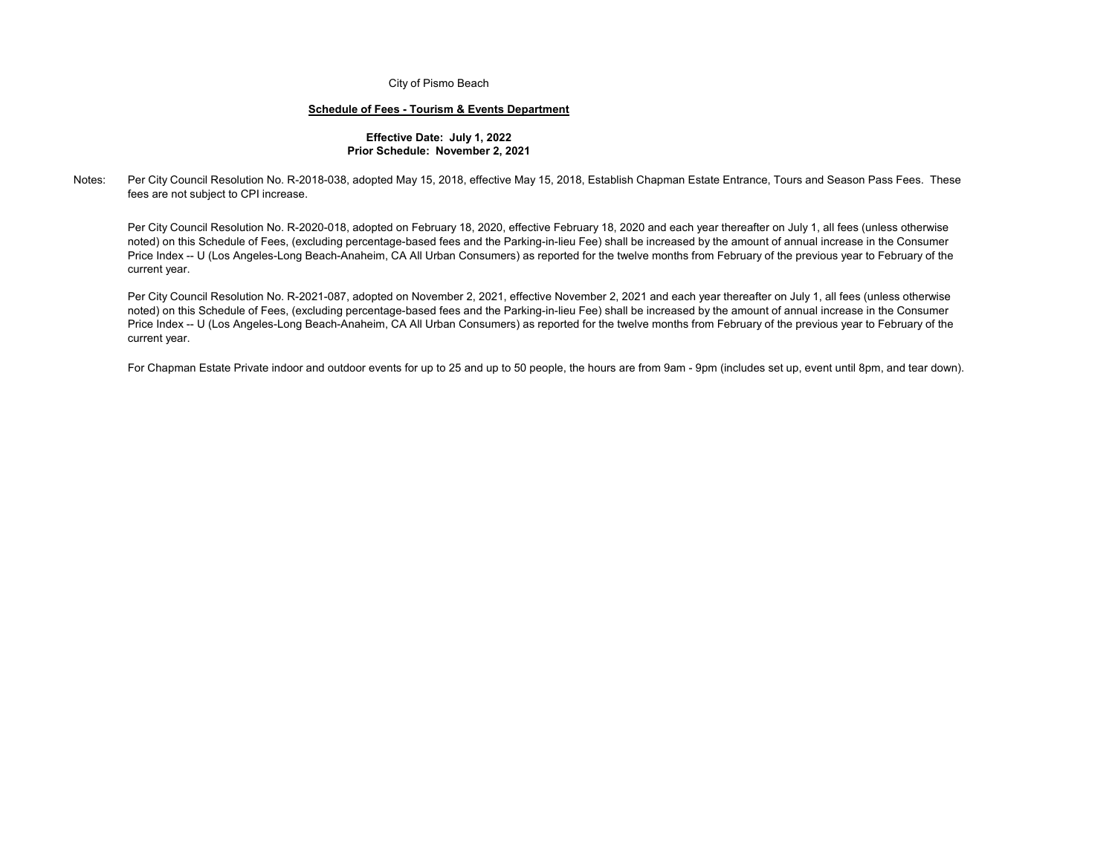#### **Schedule of Fees - Tourism & Events Department**

#### **Effective Date: July 1, 2022 Prior Schedule: November 2, 2021**

#### Notes:Per City Council Resolution No. R-2018-038, adopted May 15, 2018, effective May 15, 2018, Establish Chapman Estate Entrance, Tours and Season Pass Fees. These fees are not subject to CPI increase.

Per City Council Resolution No. R-2020-018, adopted on February 18, 2020, effective February 18, 2020 and each year thereafter on July 1, all fees (unless otherwise noted) on this Schedule of Fees, (excluding percentage-based fees and the Parking-in-lieu Fee) shall be increased by the amount of annual increase in the Consumer Price Index -- U (Los Angeles-Long Beach-Anaheim, CA All Urban Consumers) as reported for the twelve months from February of the previous year to February of the current year.

Per City Council Resolution No. R-2021-087, adopted on November 2, 2021, effective November 2, 2021 and each year thereafter on July 1, all fees (unless otherwise noted) on this Schedule of Fees, (excluding percentage-based fees and the Parking-in-lieu Fee) shall be increased by the amount of annual increase in the Consumer Price Index -- U (Los Angeles-Long Beach-Anaheim, CA All Urban Consumers) as reported for the twelve months from February of the previous year to February of the current year.

For Chapman Estate Private indoor and outdoor events for up to 25 and up to 50 people, the hours are from 9am - 9pm (includes set up, event until 8pm, and tear down).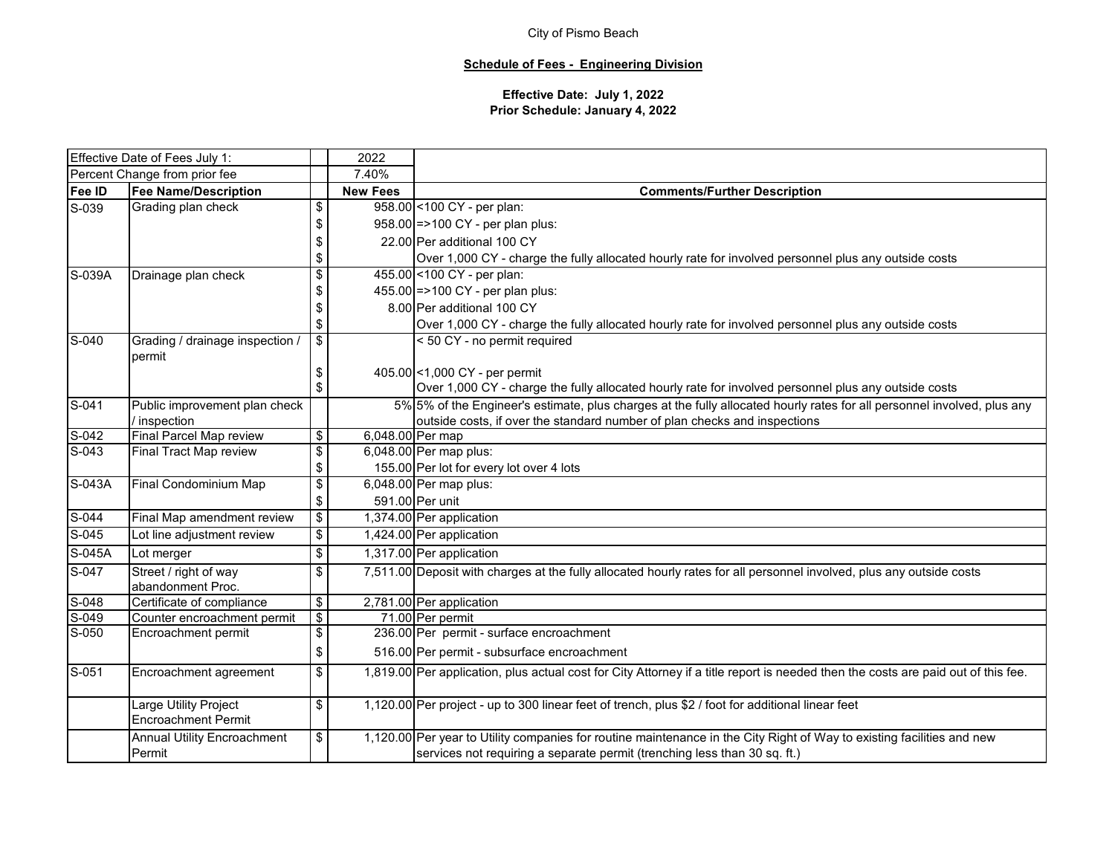## **Schedule of Fees - Engineering Division**

## **Effective Date: July 1, 2022 Prior Schedule: January 4, 2022**

| Effective Date of Fees July 1:           |                                                     |                                  | 2022            |                                                                                                                                   |
|------------------------------------------|-----------------------------------------------------|----------------------------------|-----------------|-----------------------------------------------------------------------------------------------------------------------------------|
|                                          | Percent Change from prior fee                       |                                  | 7.40%           |                                                                                                                                   |
| Fee ID                                   | <b>Fee Name/Description</b>                         |                                  | <b>New Fees</b> | <b>Comments/Further Description</b>                                                                                               |
| S-039                                    | Grading plan check                                  | \$                               |                 | 958.00 < 100 CY - per plan:                                                                                                       |
|                                          |                                                     | \$                               |                 | 958.00 = > 100 CY - per plan plus:                                                                                                |
|                                          |                                                     | \$                               |                 | 22.00 Per additional 100 CY                                                                                                       |
|                                          |                                                     | \$                               |                 | Over 1,000 CY - charge the fully allocated hourly rate for involved personnel plus any outside costs                              |
| S-039A                                   | Drainage plan check                                 | $\overline{\boldsymbol{\theta}}$ |                 | 455.00 < 100 CY - per plan:                                                                                                       |
|                                          |                                                     | \$                               |                 | 455.00 = > 100 CY - per plan plus:                                                                                                |
|                                          |                                                     | \$                               |                 | 8.00 Per additional 100 CY                                                                                                        |
|                                          |                                                     | \$                               |                 | Over 1,000 CY - charge the fully allocated hourly rate for involved personnel plus any outside costs                              |
| $S-040$                                  | Grading / drainage inspection /                     | $\overline{\$}$                  |                 | < 50 CY - no permit required                                                                                                      |
|                                          | permit                                              |                                  |                 |                                                                                                                                   |
|                                          |                                                     | \$                               |                 | 405.00 < 1,000 CY - per permit                                                                                                    |
|                                          |                                                     | \$                               |                 | Over 1,000 CY - charge the fully allocated hourly rate for involved personnel plus any outside costs                              |
| $S-041$<br>Public improvement plan check |                                                     |                                  |                 | 5% 5% of the Engineer's estimate, plus charges at the fully allocated hourly rates for all personnel involved, plus any           |
|                                          | / inspection                                        |                                  |                 | outside costs, if over the standard number of plan checks and inspections                                                         |
| S-042                                    | Final Parcel Map review                             | $\overline{\mathbf{S}}$          |                 | 6,048.00 Per map                                                                                                                  |
| $S-043$                                  | Final Tract Map review                              | $\overline{\mathbf{e}}$          |                 | 6,048.00 Per map plus:                                                                                                            |
|                                          |                                                     | \$                               |                 | 155.00 Per lot for every lot over 4 lots                                                                                          |
| S-043A                                   | Final Condominium Map                               | $\overline{\$}$                  |                 | 6,048.00 Per map plus:                                                                                                            |
|                                          |                                                     | \$                               |                 | 591.00 Per unit                                                                                                                   |
| $S-044$                                  | Final Map amendment review                          | $\sqrt[6]{\frac{1}{2}}$          |                 | 1,374.00 Per application                                                                                                          |
| $S-045$                                  | Lot line adjustment review                          | $\overline{\mathbf{S}}$          |                 | 1,424.00 Per application                                                                                                          |
| S-045A                                   | Lot merger                                          | $\overline{\mathbf{S}}$          |                 | 1,317.00 Per application                                                                                                          |
| $S-047$                                  | Street / right of way                               | $\overline{\boldsymbol{\theta}}$ |                 | 7,511.00 Deposit with charges at the fully allocated hourly rates for all personnel involved, plus any outside costs              |
|                                          | abandonment Proc.                                   |                                  |                 |                                                                                                                                   |
| $S-048$                                  | Certificate of compliance                           | \$                               |                 | 2,781.00 Per application                                                                                                          |
| S-049                                    | Counter encroachment permit                         | $\overline{\$}$                  |                 | 71.00 Per permit                                                                                                                  |
| $S-050$                                  | Encroachment permit                                 | $\overline{\mathbf{e}}$          |                 | 236.00 Per permit - surface encroachment                                                                                          |
|                                          |                                                     | \$                               |                 | 516.00 Per permit - subsurface encroachment                                                                                       |
| $S-051$                                  | Encroachment agreement                              | \$                               |                 | 1,819.00 Per application, plus actual cost for City Attorney if a title report is needed then the costs are paid out of this fee. |
|                                          | Large Utility Project<br><b>Encroachment Permit</b> | \$                               |                 | 1,120.00 Per project - up to 300 linear feet of trench, plus \$2 / foot for additional linear feet                                |
|                                          | <b>Annual Utility Encroachment</b>                  | \$                               |                 | 1,120.00 Per year to Utility companies for routine maintenance in the City Right of Way to existing facilities and new            |
|                                          | Permit                                              |                                  |                 | services not requiring a separate permit (trenching less than 30 sq. ft.)                                                         |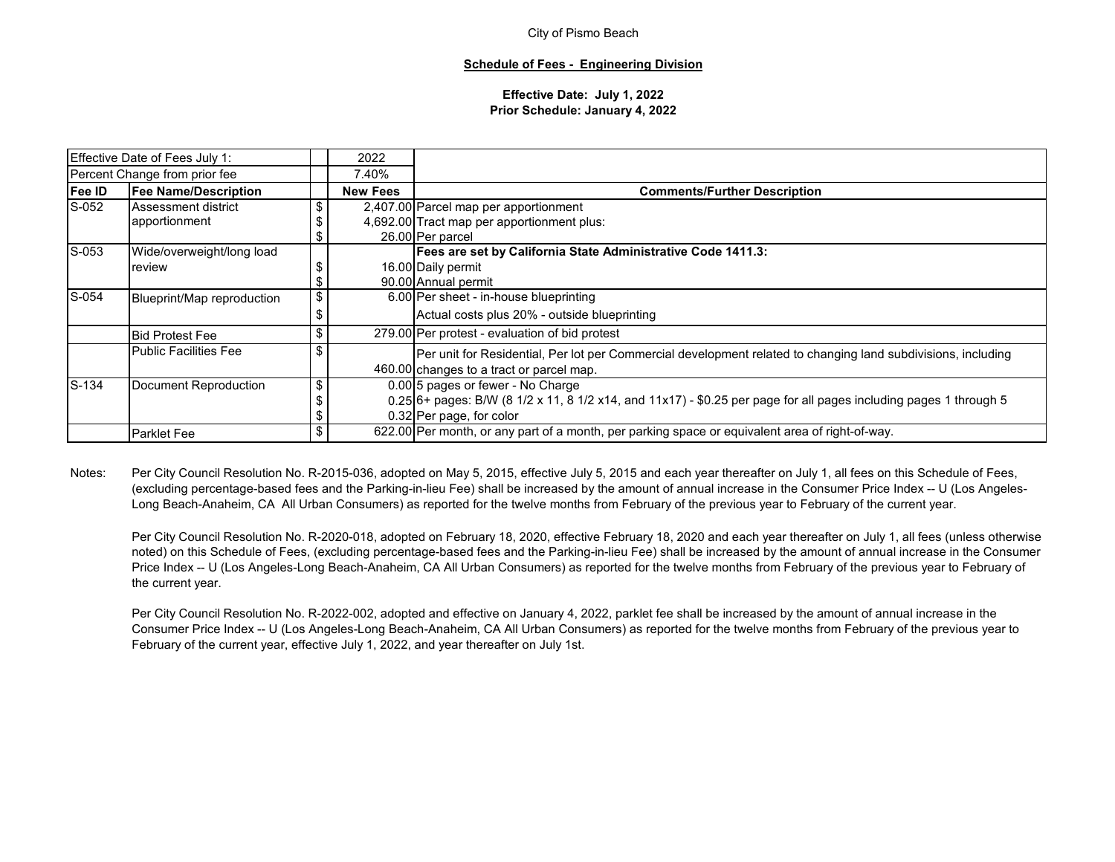#### **Schedule of Fees - Engineering Division**

#### **Effective Date: July 1, 2022 Prior Schedule: January 4, 2022**

|        | Effective Date of Fees July 1: |    | 2022            |                                                                                                                     |  |  |  |  |  |  |  |
|--------|--------------------------------|----|-----------------|---------------------------------------------------------------------------------------------------------------------|--|--|--|--|--|--|--|
|        | Percent Change from prior fee  |    | 7.40%           |                                                                                                                     |  |  |  |  |  |  |  |
| Fee ID | <b>Fee Name/Description</b>    |    | <b>New Fees</b> | <b>Comments/Further Description</b>                                                                                 |  |  |  |  |  |  |  |
| S-052  | Assessment district            | \$ |                 | 2,407.00 Parcel map per apportionment                                                                               |  |  |  |  |  |  |  |
|        | apportionment                  |    |                 | 4,692.00 Tract map per apportionment plus:                                                                          |  |  |  |  |  |  |  |
|        |                                | S  |                 | 26.00 Per parcel                                                                                                    |  |  |  |  |  |  |  |
| S-053  | Wide/overweight/long load      |    |                 | Fees are set by California State Administrative Code 1411.3:                                                        |  |  |  |  |  |  |  |
|        | review                         |    |                 | 16.00 Daily permit                                                                                                  |  |  |  |  |  |  |  |
|        |                                | \$ |                 | 90.00 Annual permit                                                                                                 |  |  |  |  |  |  |  |
| S-054  | Blueprint/Map reproduction     | \$ |                 | 6.00 Per sheet - in-house blueprinting                                                                              |  |  |  |  |  |  |  |
|        |                                |    |                 | Actual costs plus 20% - outside blueprinting                                                                        |  |  |  |  |  |  |  |
|        | <b>Bid Protest Fee</b>         | \$ |                 | 279.00 Per protest - evaluation of bid protest                                                                      |  |  |  |  |  |  |  |
|        | <b>Public Facilities Fee</b>   | S  |                 | Per unit for Residential, Per lot per Commercial development related to changing land subdivisions, including       |  |  |  |  |  |  |  |
|        |                                |    |                 | 460.00 changes to a tract or parcel map.                                                                            |  |  |  |  |  |  |  |
| S-134  | Document Reproduction          | \$ |                 | 0.00 5 pages or fewer - No Charge                                                                                   |  |  |  |  |  |  |  |
|        |                                |    |                 | $0.25$ 6+ pages: B/W (8 1/2 x 11, 8 1/2 x14, and 11x17) - \$0.25 per page for all pages including pages 1 through 5 |  |  |  |  |  |  |  |
|        |                                |    |                 | 0.32 Per page, for color                                                                                            |  |  |  |  |  |  |  |
|        | <b>Parklet Fee</b>             | \$ |                 | 622.00 Per month, or any part of a month, per parking space or equivalent area of right-of-way.                     |  |  |  |  |  |  |  |

Notes:Per City Council Resolution No. R-2015-036, adopted on May 5, 2015, effective July 5, 2015 and each year thereafter on July 1, all fees on this Schedule of Fees, (excluding percentage-based fees and the Parking-in-lieu Fee) shall be increased by the amount of annual increase in the Consumer Price Index -- U (Los Angeles-Long Beach-Anaheim, CA All Urban Consumers) as reported for the twelve months from February of the previous year to February of the current year.

Per City Council Resolution No. R-2020-018, adopted on February 18, 2020, effective February 18, 2020 and each year thereafter on July 1, all fees (unless otherwise noted) on this Schedule of Fees, (excluding percentage-based fees and the Parking-in-lieu Fee) shall be increased by the amount of annual increase in the Consumer Price Index -- U (Los Angeles-Long Beach-Anaheim, CA All Urban Consumers) as reported for the twelve months from February of the previous year to February of the current year.

Per City Council Resolution No. R-2022-002, adopted and effective on January 4, 2022, parklet fee shall be increased by the amount of annual increase in the Consumer Price Index -- U (Los Angeles-Long Beach-Anaheim, CA All Urban Consumers) as reported for the twelve months from February of the previous year to February of the current year, effective July 1, 2022, and year thereafter on July 1st.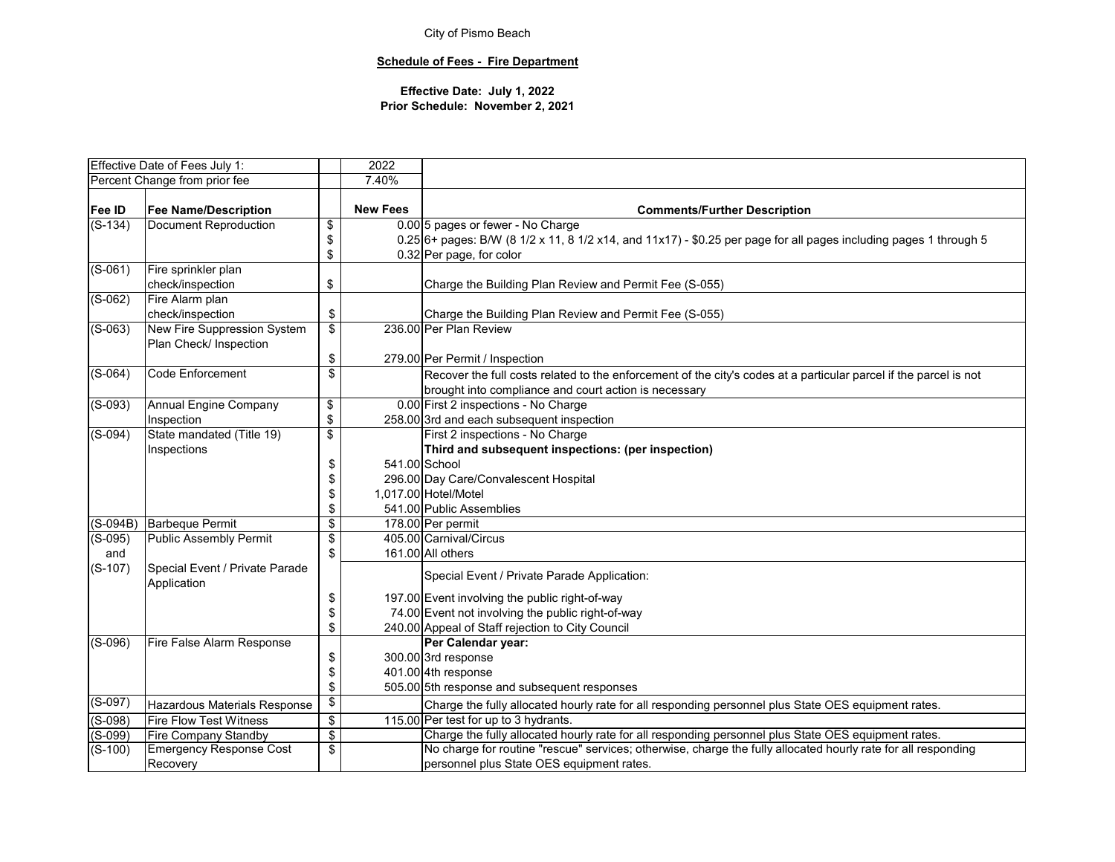## **Schedule of Fees - Fire Department**

|            | Effective Date of Fees July 1:      |                          | 2022            |                                                                                                                     |
|------------|-------------------------------------|--------------------------|-----------------|---------------------------------------------------------------------------------------------------------------------|
|            | Percent Change from prior fee       |                          | 7.40%           |                                                                                                                     |
|            |                                     |                          |                 |                                                                                                                     |
| Fee ID     | <b>Fee Name/Description</b>         |                          | <b>New Fees</b> | <b>Comments/Further Description</b>                                                                                 |
| $(S-134)$  | Document Reproduction               | $\overline{\mathbf{e}}$  |                 | 0.00 5 pages or fewer - No Charge                                                                                   |
|            |                                     | \$                       |                 | $0.25$ 6+ pages: B/W (8 1/2 x 11, 8 1/2 x14, and 11x17) - \$0.25 per page for all pages including pages 1 through 5 |
|            |                                     | \$                       |                 | 0.32 Per page, for color                                                                                            |
| $(S-061)$  | Fire sprinkler plan                 |                          |                 |                                                                                                                     |
|            | check/inspection                    | \$                       |                 | Charge the Building Plan Review and Permit Fee (S-055)                                                              |
| $(S-062)$  | Fire Alarm plan                     |                          |                 |                                                                                                                     |
|            | check/inspection                    | \$                       |                 | Charge the Building Plan Review and Permit Fee (S-055)                                                              |
| $(S-063)$  | New Fire Suppression System         | $\overline{\$}$          |                 | 236.00 Per Plan Review                                                                                              |
|            | Plan Check/ Inspection              |                          |                 |                                                                                                                     |
|            |                                     | \$                       |                 | 279.00 Per Permit / Inspection                                                                                      |
| $(S-064)$  | <b>Code Enforcement</b>             | \$                       |                 | Recover the full costs related to the enforcement of the city's codes at a particular parcel if the parcel is not   |
|            |                                     |                          |                 | brought into compliance and court action is necessary                                                               |
| $(S-093)$  | Annual Engine Company               | \$                       |                 | 0.00 First 2 inspections - No Charge                                                                                |
|            | Inspection                          | \$                       |                 | 258.00 3rd and each subsequent inspection                                                                           |
| $(S-094)$  | State mandated (Title 19)           | $\overline{\mathcal{E}}$ |                 | First 2 inspections - No Charge                                                                                     |
|            | Inspections                         |                          |                 | Third and subsequent inspections: (per inspection)                                                                  |
|            |                                     | \$                       |                 | 541.00 School                                                                                                       |
|            |                                     | \$                       |                 | 296.00 Day Care/Convalescent Hospital                                                                               |
|            |                                     | \$                       |                 | 1,017.00 Hotel/Motel                                                                                                |
|            |                                     | \$                       |                 | 541.00 Public Assemblies                                                                                            |
| $(S-094B)$ | <b>Barbeque Permit</b>              | \$                       |                 | 178.00 Per permit                                                                                                   |
| $(S-095)$  | <b>Public Assembly Permit</b>       | \$                       |                 | 405.00 Carnival/Circus                                                                                              |
| and        |                                     | \$                       |                 | 161.00 All others                                                                                                   |
| $(S-107)$  | Special Event / Private Parade      |                          |                 |                                                                                                                     |
|            | Application                         |                          |                 | Special Event / Private Parade Application:                                                                         |
|            |                                     | \$                       |                 | 197.00 Event involving the public right-of-way                                                                      |
|            |                                     | \$                       |                 | 74.00 Event not involving the public right-of-way                                                                   |
|            |                                     | \$                       |                 | 240.00 Appeal of Staff rejection to City Council                                                                    |
| $(S-096)$  | Fire False Alarm Response           |                          |                 | Per Calendar year:                                                                                                  |
|            |                                     | \$                       |                 | 300.00 3rd response                                                                                                 |
|            |                                     | \$                       |                 | 401.00 4th response                                                                                                 |
|            |                                     | \$                       |                 | 505.00 5th response and subsequent responses                                                                        |
| $(S-097)$  | <b>Hazardous Materials Response</b> | \$                       |                 | Charge the fully allocated hourly rate for all responding personnel plus State OES equipment rates.                 |
| $(S-098)$  | <b>Fire Flow Test Witness</b>       | $\overline{\mathbf{e}}$  |                 | 115.00 Per test for up to 3 hydrants.                                                                               |
| $(S-099)$  | <b>Fire Company Standby</b>         | $\overline{\mathbf{e}}$  |                 | Charge the fully allocated hourly rate for all responding personnel plus State OES equipment rates.                 |
| $(S-100)$  | <b>Emergency Response Cost</b>      | \$                       |                 | No charge for routine "rescue" services; otherwise, charge the fully allocated hourly rate for all responding       |
|            | Recovery                            |                          |                 | personnel plus State OES equipment rates.                                                                           |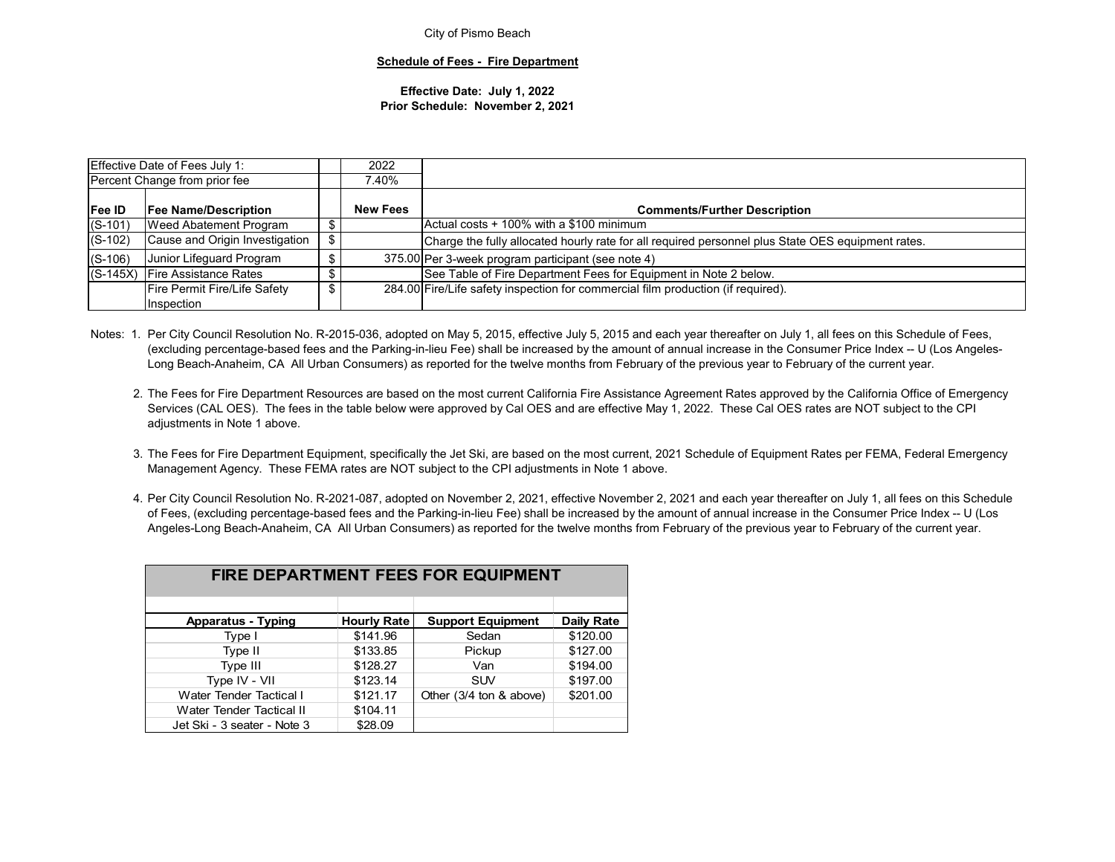#### **Schedule of Fees - Fire Department**

#### **Effective Date: July 1, 2022 Prior Schedule: November 2, 2021**

|                                              | <b>Effective Date of Fees July 1:</b> |  | 2022            |                                                                                                   |
|----------------------------------------------|---------------------------------------|--|-----------------|---------------------------------------------------------------------------------------------------|
| Percent Change from prior fee                |                                       |  | .40%            |                                                                                                   |
| <b>Fee ID</b><br><b>Fee Name/Description</b> |                                       |  | <b>New Fees</b> | <b>Comments/Further Description</b>                                                               |
| $(S-101)$<br>Weed Abatement Program          |                                       |  |                 | Actual costs + 100% with a \$100 minimum                                                          |
| $(S-102)$                                    | Cause and Origin Investigation        |  |                 | Charge the fully allocated hourly rate for all required personnel plus State OES equipment rates. |
| $(S-106)$                                    | Junior Lifeguard Program              |  |                 | 375.00 Per 3-week program participant (see note 4)                                                |
| $(S-145X)$                                   | <b>Fire Assistance Rates</b>          |  |                 | See Table of Fire Department Fees for Equipment in Note 2 below.                                  |
| Fire Permit Fire/Life Safety                 |                                       |  |                 | 284.00 Fire/Life safety inspection for commercial film production (if required).                  |
|                                              | Inspection                            |  |                 |                                                                                                   |

Notes: 1. Per City Council Resolution No. R-2015-036, adopted on May 5, 2015, effective July 5, 2015 and each year thereafter on July 1, all fees on this Schedule of Fees, (excluding percentage-based fees and the Parking-in-lieu Fee) shall be increased by the amount of annual increase in the Consumer Price Index -- U (Los Angeles-Long Beach-Anaheim, CA All Urban Consumers) as reported for the twelve months from February of the previous year to February of the current year.

- 2. The Fees for Fire Department Resources are based on the most current California Fire Assistance Agreement Rates approved by the California Office of Emergency Services (CAL OES). The fees in the table below were approved by Cal OES and are effective May 1, 2022. These Cal OES rates are NOT subject to the CPI adjustments in Note 1 above.
- 3. The Fees for Fire Department Equipment, specifically the Jet Ski, are based on the most current, 2021 Schedule of Equipment Rates per FEMA, Federal Emergency Management Agency. These FEMA rates are NOT subject to the CPI adjustments in Note 1 above.
- 4. Per City Council Resolution No. R-2021-087, adopted on November 2, 2021, effective November 2, 2021 and each year thereafter on July 1, all fees on this Schedule of Fees, (excluding percentage-based fees and the Parking-in-lieu Fee) shall be increased by the amount of annual increase in the Consumer Price Index -- U (Los Angeles-Long Beach-Anaheim, CA All Urban Consumers) as reported for the twelve months from February of the previous year to February of the current year.

|                             | <b>FIRE DEPARTMENT FEES FOR EQUIPMENT</b> |                          |            |  |  |  |  |  |  |  |  |  |  |  |
|-----------------------------|-------------------------------------------|--------------------------|------------|--|--|--|--|--|--|--|--|--|--|--|
|                             |                                           |                          |            |  |  |  |  |  |  |  |  |  |  |  |
| <b>Apparatus - Typing</b>   | <b>Hourly Rate</b>                        | <b>Support Equipment</b> | Daily Rate |  |  |  |  |  |  |  |  |  |  |  |
| Type I                      | \$141.96                                  | Sedan                    | \$120.00   |  |  |  |  |  |  |  |  |  |  |  |
| Type II                     | \$133.85                                  | Pickup                   | \$127.00   |  |  |  |  |  |  |  |  |  |  |  |
| Type III                    | \$128.27                                  | Van                      | \$194.00   |  |  |  |  |  |  |  |  |  |  |  |
| Type IV - VII               | \$123.14                                  | <b>SUV</b>               | \$197.00   |  |  |  |  |  |  |  |  |  |  |  |
| Water Tender Tactical I     | \$121.17                                  | Other (3/4 ton & above)  | \$201.00   |  |  |  |  |  |  |  |  |  |  |  |
| Water Tender Tactical II    | \$104.11                                  |                          |            |  |  |  |  |  |  |  |  |  |  |  |
| Jet Ski - 3 seater - Note 3 | \$28.09                                   |                          |            |  |  |  |  |  |  |  |  |  |  |  |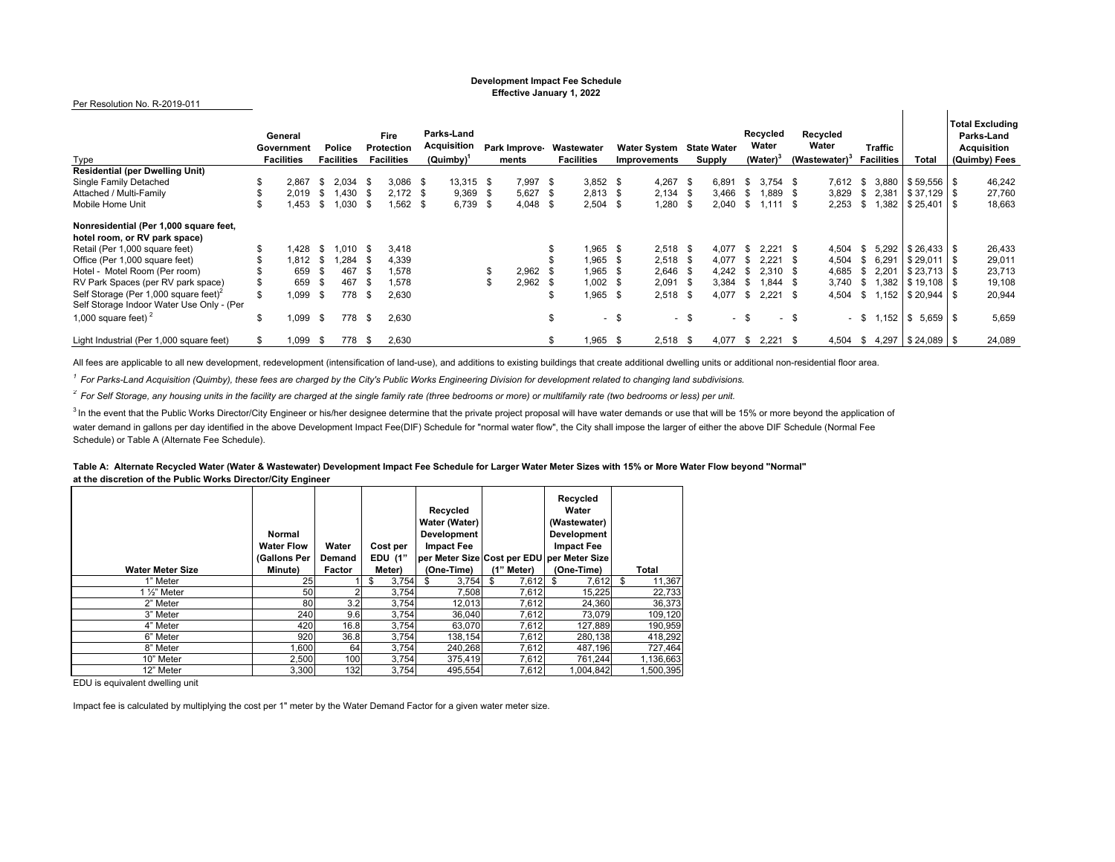#### **Development Impact Fee Schedule Effective January 1, 2022**

 $\mathbf{u}$ 

 $\mathbf{u}$ 

#### Per Resolution No. R-2019-011

| Type                                              | General<br>Government<br><b>Facilities</b> |       |      | <b>Police</b><br><b>Facilities</b> | Fire<br><b>Protection</b><br><b>Facilities</b> |            | Parks-Land<br>Acquisition<br>(Quimby) |           | Park Improve-<br>ments |            | Wastewater<br><b>Facilities</b> |            | <b>Water System</b><br>Improvements |            | <b>State Water</b><br><b>Supply</b> |        | Recycled<br>Water<br>(Water) <sup>3</sup> |            | Recycled<br>Water<br>(Wastewater) <sup>3</sup> |       | Traffic<br><b>Facilities</b> |       | Total                     | <b>Total Excluding</b><br>Parks-Land<br><b>Acquisition</b><br>(Quimby) Fees |
|---------------------------------------------------|--------------------------------------------|-------|------|------------------------------------|------------------------------------------------|------------|---------------------------------------|-----------|------------------------|------------|---------------------------------|------------|-------------------------------------|------------|-------------------------------------|--------|-------------------------------------------|------------|------------------------------------------------|-------|------------------------------|-------|---------------------------|-----------------------------------------------------------------------------|
| <b>Residential (per Dwelling Unit)</b>            |                                            |       |      |                                    |                                                |            |                                       |           |                        |            |                                 |            |                                     |            |                                     |        |                                           |            |                                                |       |                              |       |                           |                                                                             |
| Single Family Detached                            |                                            | 2,867 | -S   | 2.034                              | - \$                                           | $3,086$ \$ |                                       | 13.315 \$ |                        | $7.997$ \$ |                                 | $3.852$ \$ |                                     | 4.267      | - \$                                | 6.891  | \$                                        | $3.754$ \$ |                                                | 7.612 | - \$                         |       | $3,880$   \$59,556   \$   | 46,242                                                                      |
| Attached / Multi-Family                           |                                            | 2.019 | - 85 | .430                               | - SS                                           | $2.172$ \$ |                                       | 9.369     |                        | $5,627$ \$ |                                 | $2.813$ \$ |                                     | $2.134$ \$ |                                     | 3.466  | - \$                                      | 1.889      |                                                | 3,829 | S.                           | 2,381 | $$37.129$ \ \$            | 27,760                                                                      |
| Mobile Home Unit                                  |                                            | .453  | ж,   | 1.030                              | - \$                                           | $.562$ \$  |                                       | 6,739     | - \$                   | $4,048$ \$ |                                 | 2,504      | . ፍ                                 | 1,280      | - \$                                | 2,040  | \$                                        | $1.111$ \$ |                                                | 2,253 | -S                           | 1,382 | $$25,401$ \\$             | 18,663                                                                      |
| Nonresidential (Per 1,000 square feet,            |                                            |       |      |                                    |                                                |            |                                       |           |                        |            |                                 |            |                                     |            |                                     |        |                                           |            |                                                |       |                              |       |                           |                                                                             |
| hotel room, or RV park space)                     |                                            |       |      |                                    |                                                |            |                                       |           |                        |            |                                 |            |                                     |            |                                     |        |                                           |            |                                                |       |                              |       |                           |                                                                             |
| Retail (Per 1,000 square feet)                    |                                            | .428  | - \$ | .010                               | - \$                                           | 3.418      |                                       |           |                        |            |                                 | $.965$ \$  |                                     | $2.518$ \$ |                                     | 4.077  | - \$                                      | $2.221$ \$ |                                                | 4,504 | -SS                          |       | $5.292$   \$26.433   \$   | 26,433                                                                      |
| Office (Per 1,000 square feet)                    |                                            | 1.812 | - \$ | .284                               | <b>.</b> π                                     | 4,339      |                                       |           |                        |            |                                 | .965       |                                     | $2,518$ \$ |                                     | 4.077  | - \$                                      | 2.221      |                                                | 4,504 |                              | 6.291 | $$29.011$ \$              | 29,011                                                                      |
| Hotel - Motel Room (Per room)                     |                                            | 659   |      | 467                                | - \$                                           | 1.578      |                                       |           |                        | 2,962      |                                 | 1,965      |                                     | $2,646$ \$ |                                     | 4,242  | - \$                                      | $2.310$ \$ |                                                | 4,685 |                              | 2.201 |                           | 23,713                                                                      |
| RV Park Spaces (per RV park space)                |                                            | 659   |      | 467                                | - \$                                           | 1.578      |                                       |           |                        | 2.962      | - 35                            | $1.002$ \$ |                                     | 2,091      | - \$                                | 3,384  | - \$                                      | $1.844$ \$ |                                                | 3,740 | S                            |       | $1,382$ \ $$19,108$ \ $$$ | 19,108                                                                      |
| Self Storage (Per 1,000 square feet) <sup>2</sup> |                                            | .099  | - \$ | 778                                | - \$                                           | 2.630      |                                       |           |                        |            |                                 | .965       | -\$                                 | $2,518$ \$ |                                     | 4,077  | - \$                                      | $2.221$ \$ |                                                | 4,504 | S.                           |       | $1.152$   \$20.944   \$   | 20,944                                                                      |
| Self Storage Indoor Water Use Only - (Per         |                                            |       |      |                                    |                                                |            |                                       |           |                        |            |                                 |            |                                     |            |                                     |        |                                           |            |                                                |       |                              |       |                           |                                                                             |
| 1,000 square feet) $^2$                           | \$.                                        | .099  | - \$ | 778                                | \$                                             | 2,630      |                                       |           |                        |            | \$                              |            | $-$ \$                              |            | - \$                                | $\sim$ |                                           |            | - \$                                           |       | - \$                         | 1,152 | $$5,659$ \ \$             | 5,659                                                                       |
| Light Industrial (Per 1,000 square feet)          |                                            | .099  | - \$ | 778 \$                             |                                                | 2,630      |                                       |           |                        |            |                                 | $.965$ \$  |                                     | $2.518$ \$ |                                     | 4,077  | <b>S</b>                                  | $2.221$ \$ |                                                | 4,504 |                              |       | $$4,297$ $$24,089$ $$$    | 24,089                                                                      |

All fees are applicable to all new development, redevelopment (intensification of land-use), and additions to existing buildings that create additional dwelling units or additional non-residential floor area.

*1 For Parks-Land Acquisition (Quimby), these fees are charged by the City's Public Works Engineering Division for development related to changing land subdivisions.*

*2 For Self Storage, any housing units in the facility are charged at the single family rate (three bedrooms or more) or multifamily rate (two bedrooms or less) per unit.*

<sup>3</sup> In the event that the Public Works Director/City Engineer or his/her designee determine that the private project proposal will have water demands or use that will be 15% or more beyond the application of water demand in gallons per day identified in the above Development Impact Fee(DIF) Schedule for "normal water flow", the City shall impose the larger of either the above DIF Schedule (Normal Fee Schedule) or Table A (Alternate Fee Schedule).

**Table A: Alternate Recycled Water (Water & Wastewater) Development Impact Fee Schedule for Larger Water Meter Sizes with 15% or More Water Flow beyond "Normal" at the discretion of the Public Works Director/City Engineer**

| <b>Water Meter Size</b> | Normal<br><b>Water Flow</b><br>(Gallons Per<br><b>Minute)</b> | Water<br>Demand<br>Factor | Cost per<br><b>EDU (1"</b><br>Meter) | Recycled<br>Water (Water)<br><b>Development</b><br><b>Impact Fee</b><br>(One-Time) | (1" Meter)  | Recycled<br>Water<br>(Wastewater)<br>Development<br><b>Impact Fee</b><br>per Meter Size Cost per EDU per Meter Size<br>(One-Time) | Total        |
|-------------------------|---------------------------------------------------------------|---------------------------|--------------------------------------|------------------------------------------------------------------------------------|-------------|-----------------------------------------------------------------------------------------------------------------------------------|--------------|
| 1" Meter                | 25                                                            |                           | 3,754<br>\$                          | 3,754<br>\$                                                                        | -S<br>7,612 | 7,612<br>\$                                                                                                                       | 11,367<br>\$ |
| 1 $\frac{1}{2}$ " Meter | 50                                                            |                           | 3.754                                | 7.508                                                                              | 7.612       | 15,225                                                                                                                            | 22,733       |
| 2" Meter                | 80                                                            | 3.2                       | 3,754                                | 12,013                                                                             | 7,612       | 24,360                                                                                                                            | 36,373       |
| 3" Meter                | 240                                                           | 9.6                       | 3.754                                | 36.040                                                                             | 7.612       | 73.079                                                                                                                            | 109,120      |
| 4" Meter                | 420                                                           | 16.8                      | 3.754                                | 63.070                                                                             | 7.612       | 127.889                                                                                                                           | 190,959      |
| 6" Meter                | 920                                                           | 36.8                      | 3,754                                | 138,154                                                                            | 7,612       | 280.138                                                                                                                           | 418,292      |
| 8" Meter                | .600                                                          | 64                        | 3,754                                | 240.268                                                                            | 7,612       | 487.196                                                                                                                           | 727,464      |
| 10" Meter               | 2.500                                                         | 100                       | 3.754                                | 375,419                                                                            | 7.612       | 761.244                                                                                                                           | 1,136,663    |
| 12" Meter               | 3.300                                                         | 132                       | 3.754                                | 495,554                                                                            | 7.612       | 1,004,842                                                                                                                         | 1.500.395    |

EDU is equivalent dwelling unit

Impact fee is calculated by multiplying the cost per 1" meter by the Water Demand Factor for a given water meter size.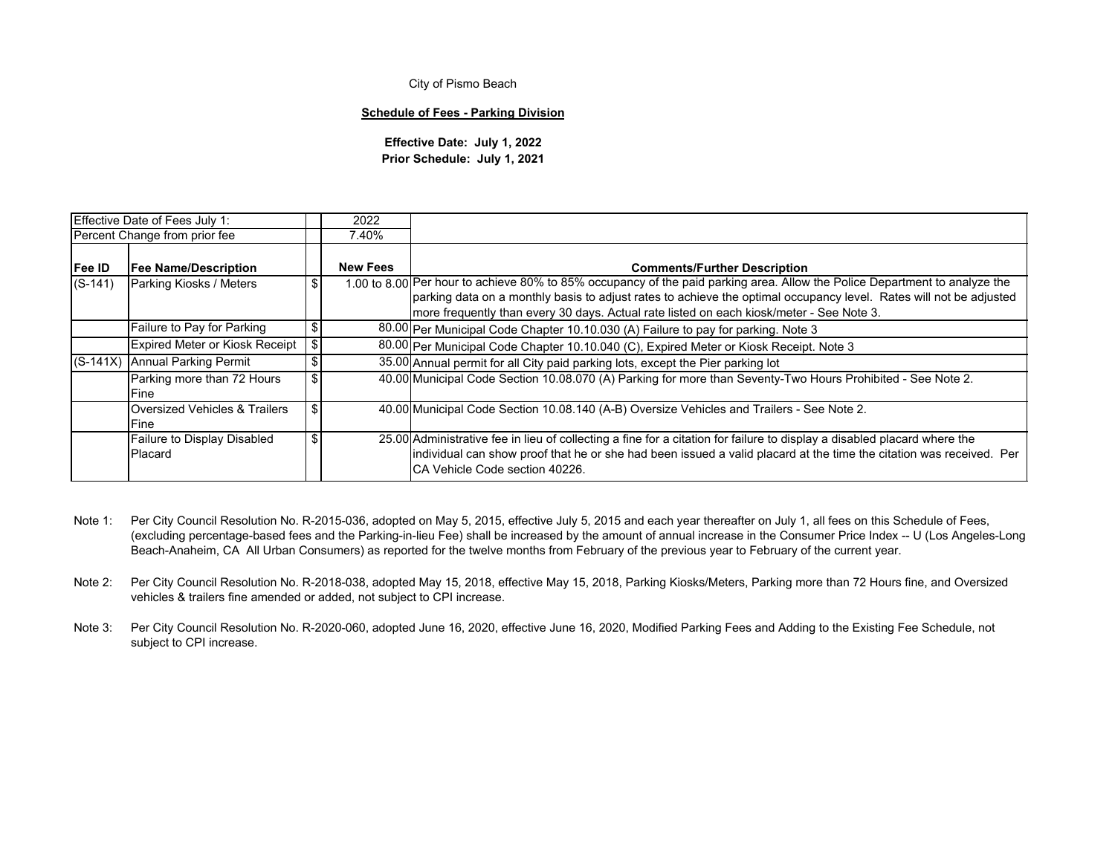#### **Schedule of Fees - Parking Division**

**Effective Date: July 1, 2022 Prior Schedule: July 1, 2021**

|                                                                                 | Effective Date of Fees July 1:        |            | 2022            |                                                                                                                                                                                                                                                                                                                                               |
|---------------------------------------------------------------------------------|---------------------------------------|------------|-----------------|-----------------------------------------------------------------------------------------------------------------------------------------------------------------------------------------------------------------------------------------------------------------------------------------------------------------------------------------------|
|                                                                                 | Percent Change from prior fee         |            | 7.40%           |                                                                                                                                                                                                                                                                                                                                               |
| Fee ID<br><b>Fee Name/Description</b>                                           |                                       |            | <b>New Fees</b> | <b>Comments/Further Description</b>                                                                                                                                                                                                                                                                                                           |
| $(S-141)$                                                                       | Parking Kiosks / Meters               | - \$       |                 | 1.00 to 8.00 Per hour to achieve 80% to 85% occupancy of the paid parking area. Allow the Police Department to analyze the<br>parking data on a monthly basis to adjust rates to achieve the optimal occupancy level. Rates will not be adjusted<br>Imore frequently than every 30 days. Actual rate listed on each kiosk/meter - See Note 3. |
| Failure to Pay for Parking                                                      |                                       | -S         |                 | 80.00 Per Municipal Code Chapter 10.10.030 (A) Failure to pay for parking. Note 3                                                                                                                                                                                                                                                             |
|                                                                                 | <b>Expired Meter or Kiosk Receipt</b> | $\sqrt{3}$ |                 | 80.00 Per Municipal Code Chapter 10.10.040 (C), Expired Meter or Kiosk Receipt. Note 3                                                                                                                                                                                                                                                        |
|                                                                                 | (S-141X) Annual Parking Permit        | \$         |                 | 35.00 Annual permit for all City paid parking lots, except the Pier parking lot                                                                                                                                                                                                                                                               |
| Parking more than 72 Hours<br>lFine.                                            |                                       |            |                 | 40.00 Municipal Code Section 10.08.070 (A) Parking for more than Seventy-Two Hours Prohibited - See Note 2.                                                                                                                                                                                                                                   |
| Oversized Vehicles & Trailers<br>Fine<br>Failure to Display Disabled<br>Placard |                                       |            |                 | 40.00 Municipal Code Section 10.08.140 (A-B) Oversize Vehicles and Trailers - See Note 2.                                                                                                                                                                                                                                                     |
|                                                                                 |                                       |            |                 | 25.00 Administrative fee in lieu of collecting a fine for a citation for failure to display a disabled placard where the<br>individual can show proof that he or she had been issued a valid placard at the time the citation was received. Per<br>ICA Vehicle Code section 40226.                                                            |

- Note 1: Per City Council Resolution No. R-2015-036, adopted on May 5, 2015, effective July 5, 2015 and each year thereafter on July 1, all fees on this Schedule of Fees, (excluding percentage-based fees and the Parking-in-lieu Fee) shall be increased by the amount of annual increase in the Consumer Price Index -- U (Los Angeles-Long Beach-Anaheim, CA All Urban Consumers) as reported for the twelve months from February of the previous year to February of the current year.
- Note 2: Per City Council Resolution No. R-2018-038, adopted May 15, 2018, effective May 15, 2018, Parking Kiosks/Meters, Parking more than 72 Hours fine, and Oversized vehicles & trailers fine amended or added, not subject to CPI increase.
- Note 3: Per City Council Resolution No. R-2020-060, adopted June 16, 2020, effective June 16, 2020, Modified Parking Fees and Adding to the Existing Fee Schedule, not subject to CPI increase.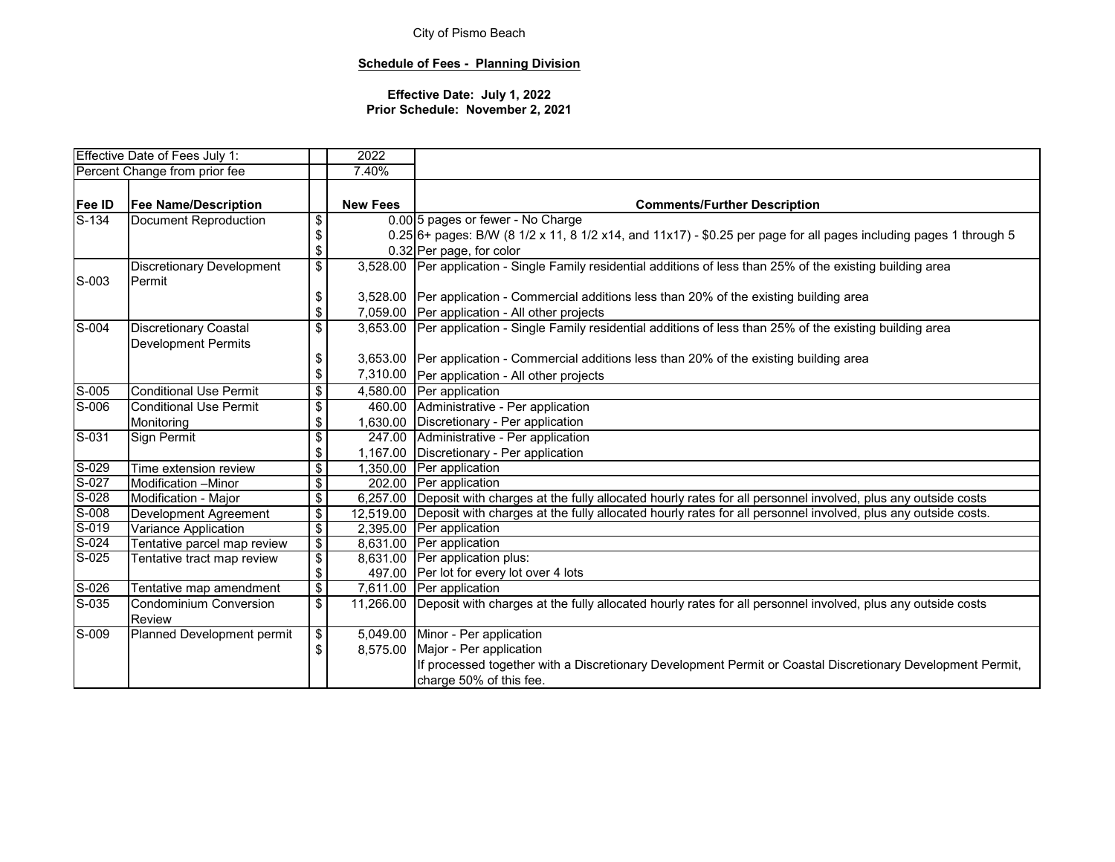## **Schedule of Fees - Planning Division**

|                           | Effective Date of Fees July 1:   |                                           | 2022            |                                                                                                                     |  |  |
|---------------------------|----------------------------------|-------------------------------------------|-----------------|---------------------------------------------------------------------------------------------------------------------|--|--|
|                           | Percent Change from prior fee    |                                           | 7.40%           |                                                                                                                     |  |  |
|                           |                                  |                                           |                 |                                                                                                                     |  |  |
| <b>Fee ID</b>             | <b>Fee Name/Description</b>      |                                           | <b>New Fees</b> | <b>Comments/Further Description</b>                                                                                 |  |  |
| S-134                     | Document Reproduction            | $\,$                                      |                 | 0.00 5 pages or fewer - No Charge                                                                                   |  |  |
|                           |                                  | $\, \, \raisebox{12pt}{$\scriptstyle \$}$ |                 | $0.25$ 6+ pages: B/W (8 1/2 x 11, 8 1/2 x14, and 11x17) - \$0.25 per page for all pages including pages 1 through 5 |  |  |
|                           |                                  | \$                                        |                 | 0.32 Per page, for color                                                                                            |  |  |
|                           | <b>Discretionary Development</b> | $\overline{\$}$                           |                 | 3,528.00 Per application - Single Family residential additions of less than 25% of the existing building area       |  |  |
| S-003                     | Permit                           |                                           |                 |                                                                                                                     |  |  |
|                           |                                  | \$                                        | 3,528.00        | Per application - Commercial additions less than 20% of the existing building area                                  |  |  |
|                           |                                  | \$                                        |                 | 7,059.00 Per application - All other projects                                                                       |  |  |
| $\overline{\text{S}$ -004 | <b>Discretionary Coastal</b>     | \$                                        |                 | 3,653.00 Per application - Single Family residential additions of less than 25% of the existing building area       |  |  |
|                           | <b>Development Permits</b>       |                                           |                 |                                                                                                                     |  |  |
|                           |                                  | \$                                        | 3,653.00        | Per application - Commercial additions less than 20% of the existing building area                                  |  |  |
|                           |                                  | \$                                        | 7,310.00        | Per application - All other projects                                                                                |  |  |
| $S-005$                   | <b>Conditional Use Permit</b>    | $\overline{\mathbf{s}}$                   | 4,580.00        | Per application                                                                                                     |  |  |
| $S-006$                   | Conditional Use Permit           | \$                                        | 460.00          | Administrative - Per application                                                                                    |  |  |
|                           | Monitoring                       | \$                                        | 1,630.00        | Discretionary - Per application                                                                                     |  |  |
| $S-031$                   | Sign Permit                      | $\overline{\mathbf{e}}$                   | 247.00          | Administrative - Per application                                                                                    |  |  |
|                           |                                  | \$                                        | 1,167.00        | Discretionary - Per application                                                                                     |  |  |
| S-029                     | Time extension review            | \$                                        | 1,350.00        | Per application                                                                                                     |  |  |
| $S-027$                   | Modification -Minor              | $\overline{\mathcal{S}}$                  |                 | 202.00 Per application                                                                                              |  |  |
| $S-028$                   | Modification - Major             | $\overline{\mathbf{S}}$                   | 6,257.00        | Deposit with charges at the fully allocated hourly rates for all personnel involved, plus any outside costs         |  |  |
| $S-008$                   | Development Agreement            | $\overline{\$}$                           | 12,519.00       | Deposit with charges at the fully allocated hourly rates for all personnel involved, plus any outside costs.        |  |  |
| S-019                     | Variance Application             | $\overline{\mathbf{e}}$                   | 2,395.00        | Per application                                                                                                     |  |  |
| $S-024$                   | Tentative parcel map review      | $\overline{\$}$                           |                 | 8,631.00 Per application                                                                                            |  |  |
| $S-025$                   | Tentative tract map review       | $\overline{\mathbf{e}}$                   | 8,631.00        | Per application plus:                                                                                               |  |  |
|                           |                                  | \$                                        | 497.00          | Per lot for every lot over 4 lots                                                                                   |  |  |
| $S-026$                   | Tentative map amendment          | $\overline{\$}$                           |                 | 7,611.00 Per application                                                                                            |  |  |
| $S-035$                   | <b>Condominium Conversion</b>    | $\overline{\$}$                           | 11,266.00       | Deposit with charges at the fully allocated hourly rates for all personnel involved, plus any outside costs         |  |  |
|                           | <b>Review</b>                    |                                           |                 |                                                                                                                     |  |  |
| $S-009$                   | Planned Development permit       | \$                                        | 5,049.00        | Minor - Per application                                                                                             |  |  |
|                           |                                  | \$                                        | 8,575.00        | Major - Per application                                                                                             |  |  |
|                           |                                  |                                           |                 | If processed together with a Discretionary Development Permit or Coastal Discretionary Development Permit,          |  |  |
|                           |                                  |                                           |                 | charge 50% of this fee.                                                                                             |  |  |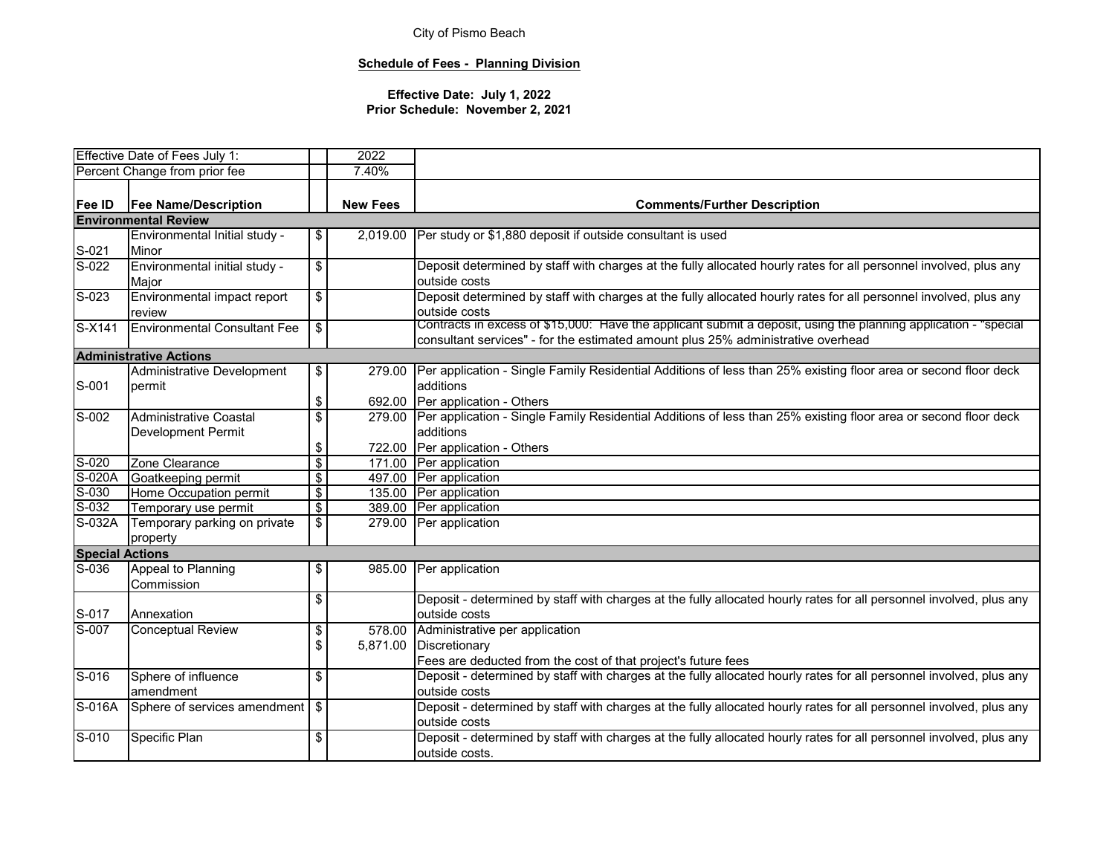## **Schedule of Fees - Planning Division**

|                             | Effective Date of Fees July 1:      |                          | 2022            |                                                                                                                        |  |
|-----------------------------|-------------------------------------|--------------------------|-----------------|------------------------------------------------------------------------------------------------------------------------|--|
|                             | Percent Change from prior fee       |                          | 7.40%           |                                                                                                                        |  |
|                             |                                     |                          |                 |                                                                                                                        |  |
| Fee ID                      | <b>Fee Name/Description</b>         |                          | <b>New Fees</b> | <b>Comments/Further Description</b>                                                                                    |  |
|                             | <b>Environmental Review</b>         |                          |                 |                                                                                                                        |  |
|                             | Environmental Initial study -       | \$                       | 2,019.00        | Per study or \$1,880 deposit if outside consultant is used                                                             |  |
| S-021                       | Minor                               |                          |                 |                                                                                                                        |  |
| $S-022$                     | Environmental initial study -       | $\overline{\mathbf{s}}$  |                 | Deposit determined by staff with charges at the fully allocated hourly rates for all personnel involved, plus any      |  |
|                             | Major                               |                          |                 | outside costs                                                                                                          |  |
| $S-023$                     | Environmental impact report         | $\overline{\mathcal{S}}$ |                 | Deposit determined by staff with charges at the fully allocated hourly rates for all personnel involved, plus any      |  |
|                             | review                              |                          |                 | outside costs                                                                                                          |  |
| S-X141                      | <b>Environmental Consultant Fee</b> | \$                       |                 | Contracts in excess of \$15,000: Have the applicant submit a deposit, using the planning application - "special        |  |
|                             |                                     |                          |                 | consultant services" - for the estimated amount plus 25% administrative overhead                                       |  |
|                             | <b>Administrative Actions</b>       |                          |                 |                                                                                                                        |  |
|                             | <b>Administrative Development</b>   | \$                       | 279.00          | Per application - Single Family Residential Additions of less than 25% existing floor area or second floor deck        |  |
| S-001                       | permit                              |                          |                 | additions                                                                                                              |  |
|                             |                                     | \$                       |                 | 692.00 Per application - Others                                                                                        |  |
| S-002                       | Administrative Coastal              | \$                       |                 | 279.00 Per application - Single Family Residential Additions of less than 25% existing floor area or second floor deck |  |
| <b>Development Permit</b>   |                                     |                          |                 | additions                                                                                                              |  |
|                             |                                     | \$                       |                 | 722.00 Per application - Others                                                                                        |  |
| S-020                       | Zone Clearance                      | $\overline{\$}$          |                 | 171.00 Per application                                                                                                 |  |
| S-020A                      | Goatkeeping permit                  | $\overline{\mathcal{S}}$ |                 | 497.00 Per application                                                                                                 |  |
| $S-030$                     | Home Occupation permit              | $\overline{\mathbf{S}}$  |                 | 135.00 Per application                                                                                                 |  |
| $S-032$                     | Temporary use permit                | $\overline{\mathbf{e}}$  |                 | 389.00 Per application                                                                                                 |  |
| $\overline{\text{S}}$ -032A | Temporary parking on private        | $\overline{\mathcal{S}}$ |                 | 279.00 Per application                                                                                                 |  |
|                             | property                            |                          |                 |                                                                                                                        |  |
| <b>Special Actions</b>      |                                     |                          |                 |                                                                                                                        |  |
| $S-036$                     | Appeal to Planning                  | \$                       | 985.00          | Per application                                                                                                        |  |
|                             | Commission                          |                          |                 |                                                                                                                        |  |
|                             |                                     | \$                       |                 | Deposit - determined by staff with charges at the fully allocated hourly rates for all personnel involved, plus any    |  |
| S-017                       | Annexation                          |                          |                 | outside costs                                                                                                          |  |
| S-007                       | <b>Conceptual Review</b>            | \$                       | 578.00          | Administrative per application                                                                                         |  |
|                             |                                     | \$                       | 5,871.00        | Discretionary                                                                                                          |  |
|                             |                                     |                          |                 | Fees are deducted from the cost of that project's future fees                                                          |  |
| $S-016$                     | Sphere of influence                 | \$                       |                 | Deposit - determined by staff with charges at the fully allocated hourly rates for all personnel involved, plus any    |  |
|                             | amendment                           |                          |                 | outside costs                                                                                                          |  |
| $S-016A$                    | Sphere of services amendment   \$   |                          |                 | Deposit - determined by staff with charges at the fully allocated hourly rates for all personnel involved, plus any    |  |
|                             |                                     |                          |                 | outside costs                                                                                                          |  |
| $\overline{S-010}$          | Specific Plan                       | \$                       |                 | Deposit - determined by staff with charges at the fully allocated hourly rates for all personnel involved, plus any    |  |
|                             |                                     |                          |                 | outside costs.                                                                                                         |  |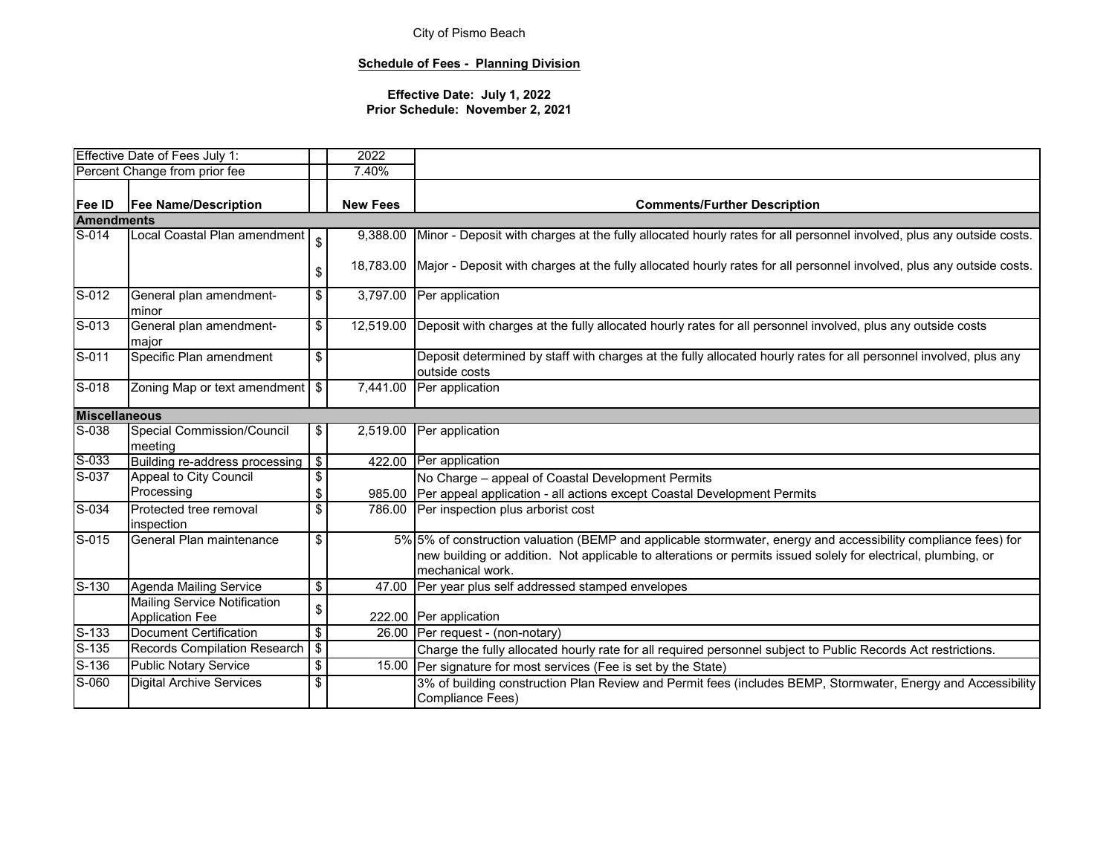## **Schedule of Fees - Planning Division**

|                            | Effective Date of Fees July 1:                                |                                  | 2022            |                                                                                                                                                                                                                                                     |  |  |
|----------------------------|---------------------------------------------------------------|----------------------------------|-----------------|-----------------------------------------------------------------------------------------------------------------------------------------------------------------------------------------------------------------------------------------------------|--|--|
|                            | Percent Change from prior fee                                 |                                  | 7.40%           |                                                                                                                                                                                                                                                     |  |  |
| Fee ID                     | <b>Fee Name/Description</b>                                   |                                  | <b>New Fees</b> | <b>Comments/Further Description</b>                                                                                                                                                                                                                 |  |  |
| <b>Amendments</b>          |                                                               |                                  |                 |                                                                                                                                                                                                                                                     |  |  |
| S-014                      | Local Coastal Plan amendment                                  | \$                               | 9,388.00        | Minor - Deposit with charges at the fully allocated hourly rates for all personnel involved, plus any outside costs.                                                                                                                                |  |  |
|                            |                                                               | \$                               |                 | 18,783.00 Major - Deposit with charges at the fully allocated hourly rates for all personnel involved, plus any outside costs.                                                                                                                      |  |  |
| S-012                      | General plan amendment-<br>minor                              | \$                               |                 | 3,797.00 Per application                                                                                                                                                                                                                            |  |  |
| $\overline{S-013}$         | General plan amendment-<br>major                              | \$                               | 12,519.00       | Deposit with charges at the fully allocated hourly rates for all personnel involved, plus any outside costs                                                                                                                                         |  |  |
| $S-011$                    | Specific Plan amendment                                       | \$                               |                 | Deposit determined by staff with charges at the fully allocated hourly rates for all personnel involved, plus any<br>outside costs                                                                                                                  |  |  |
| $\overline{\text{S}}$ -018 | Zoning Map or text amendment   \$                             |                                  | 7,441.00        | Per application                                                                                                                                                                                                                                     |  |  |
| <b>Miscellaneous</b>       |                                                               |                                  |                 |                                                                                                                                                                                                                                                     |  |  |
| S-038                      | Special Commission/Council<br>meeting                         | \$                               | 2,519.00        | Per application                                                                                                                                                                                                                                     |  |  |
| S-033                      | Building re-address processing                                | $\sqrt{2}$                       |                 | 422.00 Per application                                                                                                                                                                                                                              |  |  |
| S-037                      | Appeal to City Council                                        | \$                               |                 | No Charge - appeal of Coastal Development Permits                                                                                                                                                                                                   |  |  |
|                            | Processing                                                    | \$                               |                 | 985.00 Per appeal application - all actions except Coastal Development Permits                                                                                                                                                                      |  |  |
| $S-034$                    | Protected tree removal<br>inspection                          | \$                               |                 | 786.00 Per inspection plus arborist cost                                                                                                                                                                                                            |  |  |
| S-015                      | General Plan maintenance                                      | \$                               |                 | 5% 5% of construction valuation (BEMP and applicable stormwater, energy and accessibility compliance fees) for<br>new building or addition. Not applicable to alterations or permits issued solely for electrical, plumbing, or<br>mechanical work. |  |  |
| $S-130$                    | <b>Agenda Mailing Service</b>                                 | $\overline{\mathbf{s}}$          |                 | 47.00 Per year plus self addressed stamped envelopes                                                                                                                                                                                                |  |  |
|                            | <b>Mailing Service Notification</b><br><b>Application Fee</b> | \$                               |                 | 222.00 Per application                                                                                                                                                                                                                              |  |  |
| $S-133$                    | Document Certification                                        | $\overline{\boldsymbol{\theta}}$ |                 | 26.00 Per request - (non-notary)                                                                                                                                                                                                                    |  |  |
| $S-135$                    | Records Compilation Research                                  | $\sqrt[6]{\frac{1}{2}}$          |                 | Charge the fully allocated hourly rate for all required personnel subject to Public Records Act restrictions.                                                                                                                                       |  |  |
| $S-136$                    | <b>Public Notary Service</b>                                  | \$                               |                 | 15.00 Per signature for most services (Fee is set by the State)                                                                                                                                                                                     |  |  |
| S-060                      | <b>Digital Archive Services</b>                               | \$                               |                 | 3% of building construction Plan Review and Permit fees (includes BEMP, Stormwater, Energy and Accessibility<br>Compliance Fees)                                                                                                                    |  |  |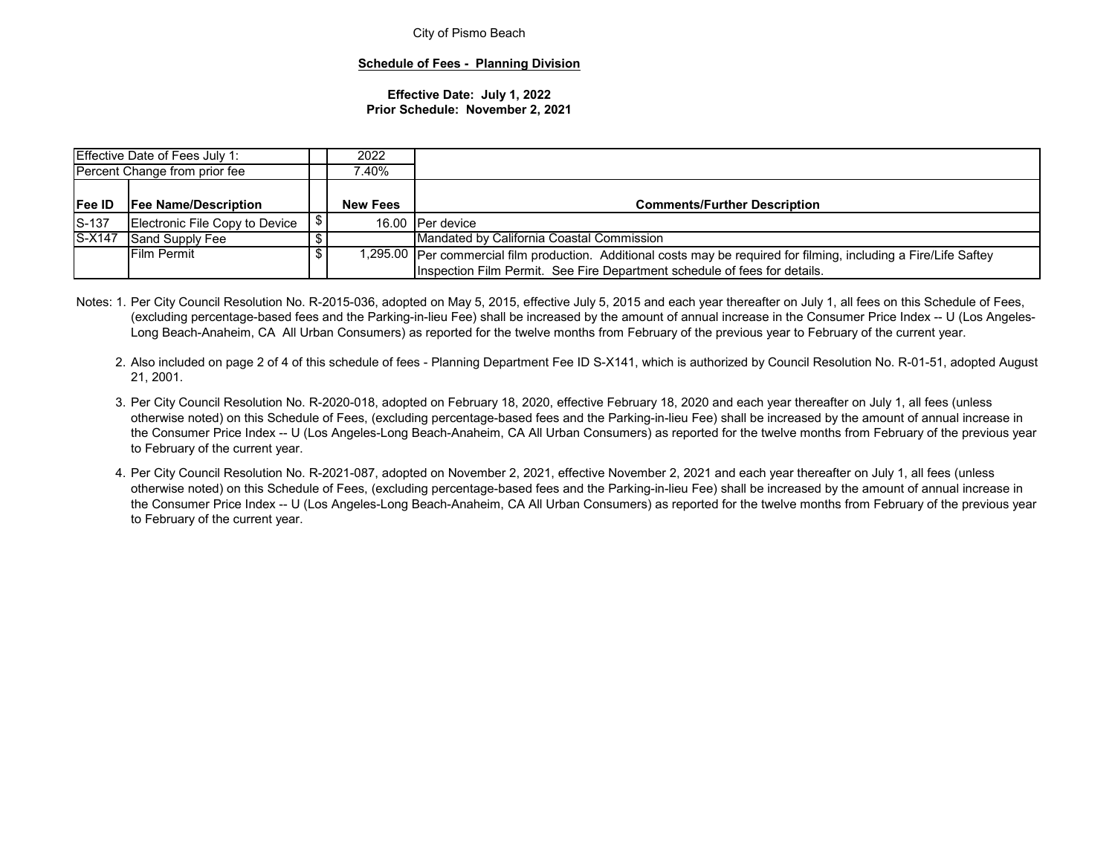#### **Schedule of Fees - Planning Division**

|                                              | Effective Date of Fees July 1: | 2022 |                 |                                                                                                                                                                                                    |  |  |
|----------------------------------------------|--------------------------------|------|-----------------|----------------------------------------------------------------------------------------------------------------------------------------------------------------------------------------------------|--|--|
| Percent Change from prior fee                |                                |      | 40% '           |                                                                                                                                                                                                    |  |  |
|                                              |                                |      |                 |                                                                                                                                                                                                    |  |  |
| <b>Fee ID</b><br><b>Fee Name/Description</b> |                                |      | <b>New Fees</b> | <b>Comments/Further Description</b>                                                                                                                                                                |  |  |
| $S-137$                                      | Electronic File Copy to Device |      |                 | 16.00 Per device                                                                                                                                                                                   |  |  |
| S-X147                                       | Sand Supply Fee                |      |                 | Mandated by California Coastal Commission                                                                                                                                                          |  |  |
| <b>Film Permit</b>                           |                                |      |                 | 1,295.00  Per commercial film production.  Additional costs may be required for filming, including a Fire/Life Saftey<br>Inspection Film Permit. See Fire Department schedule of fees for details. |  |  |

- Notes: 1. Per City Council Resolution No. R-2015-036, adopted on May 5, 2015, effective July 5, 2015 and each year thereafter on July 1, all fees on this Schedule of Fees, (excluding percentage-based fees and the Parking-in-lieu Fee) shall be increased by the amount of annual increase in the Consumer Price Index -- U (Los Angeles-Long Beach-Anaheim, CA All Urban Consumers) as reported for the twelve months from February of the previous year to February of the current year.
	- 2. Also included on page 2 of 4 of this schedule of fees Planning Department Fee ID S-X141, which is authorized by Council Resolution No. R-01-51, adopted August 21, 2001.
	- 3. Per City Council Resolution No. R-2020-018, adopted on February 18, 2020, effective February 18, 2020 and each year thereafter on July 1, all fees (unless otherwise noted) on this Schedule of Fees, (excluding percentage-based fees and the Parking-in-lieu Fee) shall be increased by the amount of annual increase in the Consumer Price Index -- U (Los Angeles-Long Beach-Anaheim, CA All Urban Consumers) as reported for the twelve months from February of the previous year to February of the current year.
	- 4. Per City Council Resolution No. R-2021-087, adopted on November 2, 2021, effective November 2, 2021 and each year thereafter on July 1, all fees (unless otherwise noted) on this Schedule of Fees, (excluding percentage-based fees and the Parking-in-lieu Fee) shall be increased by the amount of annual increase in the Consumer Price Index -- U (Los Angeles-Long Beach-Anaheim, CA All Urban Consumers) as reported for the twelve months from February of the previous year to February of the current year.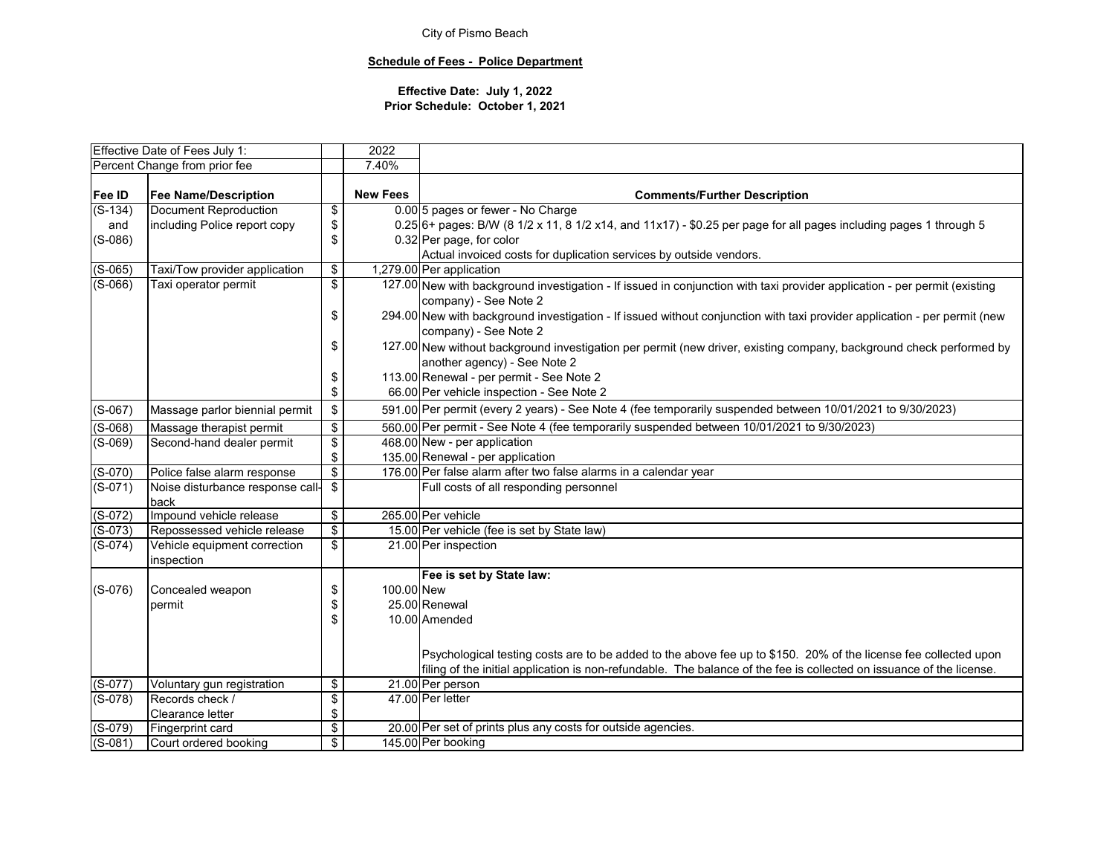## **Schedule of Fees - Police Department**

|           | Effective Date of Fees July 1:   |                                    | 2022            |                                                                                                                           |  |  |
|-----------|----------------------------------|------------------------------------|-----------------|---------------------------------------------------------------------------------------------------------------------------|--|--|
|           | Percent Change from prior fee    |                                    | 7.40%           |                                                                                                                           |  |  |
| Fee ID    | <b>Fee Name/Description</b>      |                                    | <b>New Fees</b> | <b>Comments/Further Description</b>                                                                                       |  |  |
| $(S-134)$ | <b>Document Reproduction</b>     | \$                                 |                 | 0.00 5 pages or fewer - No Charge                                                                                         |  |  |
| and       | including Police report copy     | \$                                 |                 | $0.25$ 6+ pages: B/W (8 1/2 x 11, 8 1/2 x14, and 11x17) - \$0.25 per page for all pages including pages 1 through 5       |  |  |
| $(S-086)$ |                                  | \$                                 |                 | 0.32 Per page, for color                                                                                                  |  |  |
|           |                                  |                                    |                 | Actual invoiced costs for duplication services by outside vendors.                                                        |  |  |
| $(S-065)$ | Taxi/Tow provider application    | \$                                 |                 | 1,279.00 Per application                                                                                                  |  |  |
| $(S-066)$ | Taxi operator permit             | $\overline{\mathbf{S}}$            |                 | 127.00 New with background investigation - If issued in conjunction with taxi provider application - per permit (existing |  |  |
|           |                                  |                                    |                 | company) - See Note 2                                                                                                     |  |  |
|           |                                  | \$                                 |                 | 294.00 New with background investigation - If issued without conjunction with taxi provider application - per permit (new |  |  |
|           |                                  |                                    |                 | company) - See Note 2                                                                                                     |  |  |
|           |                                  | \$                                 |                 | 127.00 New without background investigation per permit (new driver, existing company, background check performed by       |  |  |
|           |                                  |                                    |                 | another agency) - See Note 2                                                                                              |  |  |
|           |                                  | \$                                 |                 | 113.00 Renewal - per permit - See Note 2                                                                                  |  |  |
|           |                                  | \$                                 |                 | 66.00 Per vehicle inspection - See Note 2                                                                                 |  |  |
| $(S-067)$ | Massage parlor biennial permit   | \$                                 |                 | 591.00 Per permit (every 2 years) - See Note 4 (fee temporarily suspended between 10/01/2021 to 9/30/2023)                |  |  |
| $(S-068)$ | Massage therapist permit         | \$                                 |                 | 560.00 Per permit - See Note 4 (fee temporarily suspended between 10/01/2021 to 9/30/2023)                                |  |  |
| $(S-069)$ | Second-hand dealer permit        | $\overline{\mathbf{e}}$            |                 | 468.00 New - per application                                                                                              |  |  |
|           |                                  | \$                                 |                 | 135.00 Renewal - per application                                                                                          |  |  |
| $(S-070)$ | Police false alarm response      | $\overline{\mathbf{e}}$            |                 | 176.00 Per false alarm after two false alarms in a calendar year                                                          |  |  |
| $(S-071)$ | Noise disturbance response call- | $\sqrt[6]{2}$                      |                 | Full costs of all responding personnel                                                                                    |  |  |
|           | back                             |                                    |                 |                                                                                                                           |  |  |
| $(S-072)$ | Impound vehicle release          | $\overline{\mathbf{e}}$            |                 | 265.00 Per vehicle                                                                                                        |  |  |
| $(S-073)$ | Repossessed vehicle release      | $\bullet$                          |                 | 15.00 Per vehicle (fee is set by State law)                                                                               |  |  |
| $(S-074)$ | Vehicle equipment correction     | \$                                 |                 | 21.00 Per inspection                                                                                                      |  |  |
|           | inspection                       |                                    |                 |                                                                                                                           |  |  |
|           |                                  |                                    |                 | Fee is set by State law:                                                                                                  |  |  |
| $(S-076)$ | Concealed weapon                 | \$                                 | 100.00 New      |                                                                                                                           |  |  |
|           | permit                           | \$                                 |                 | 25.00 Renewal                                                                                                             |  |  |
|           |                                  | \$                                 |                 | 10.00 Amended                                                                                                             |  |  |
|           |                                  |                                    |                 |                                                                                                                           |  |  |
|           |                                  |                                    |                 | Psychological testing costs are to be added to the above fee up to \$150. 20% of the license fee collected upon           |  |  |
|           |                                  |                                    |                 | filing of the initial application is non-refundable. The balance of the fee is collected on issuance of the license.      |  |  |
| $(S-077)$ | Voluntary gun registration       | $\overline{\mathbf{e}}$            |                 | 21.00 Per person                                                                                                          |  |  |
| $(S-078)$ | Records check /                  | $\overline{\boldsymbol{\epsilon}}$ |                 | 47.00 Per letter                                                                                                          |  |  |
|           | Clearance letter                 | \$                                 |                 |                                                                                                                           |  |  |
| $(S-079)$ | Fingerprint card                 | $\overline{\mathbf{e}}$            |                 | 20.00 Per set of prints plus any costs for outside agencies.                                                              |  |  |
| $(S-081)$ | Court ordered booking            | $\overline{\mathbf{S}}$            |                 | 145.00 Per booking                                                                                                        |  |  |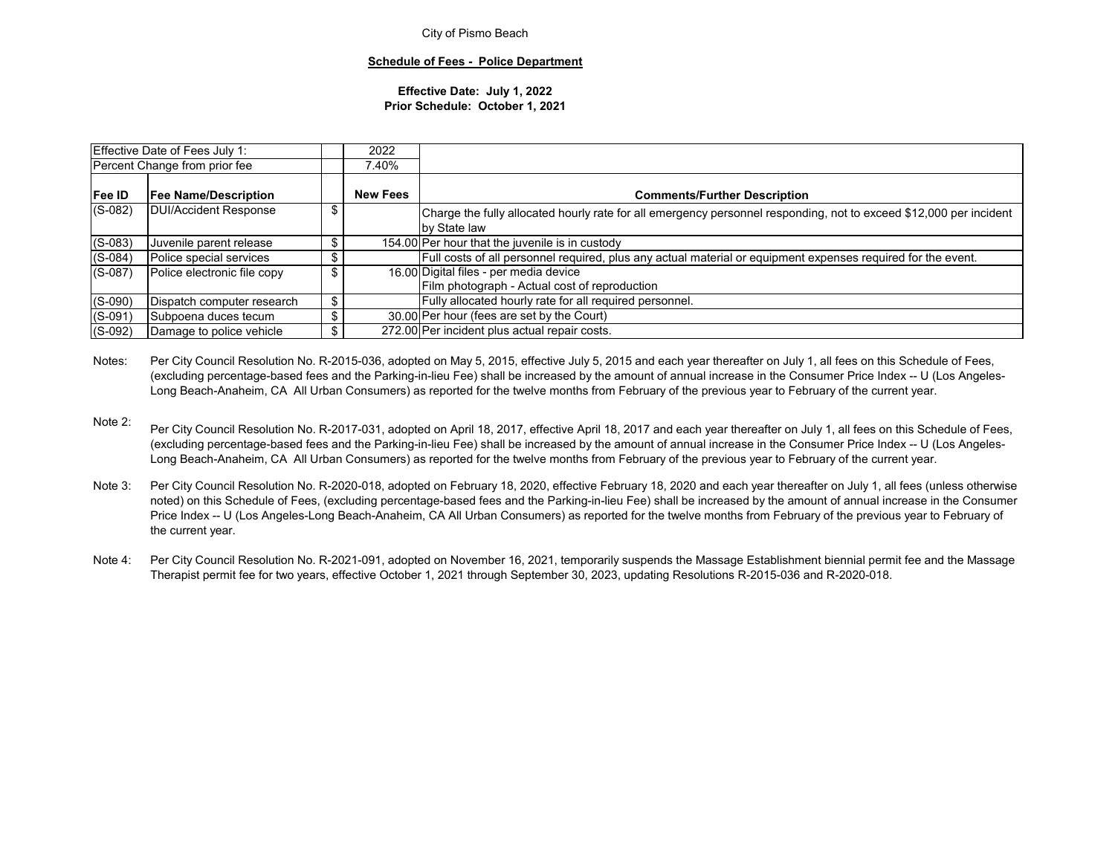#### **Schedule of Fees - Police Department**

#### **Effective Date: July 1, 2022 Prior Schedule: October 1, 2021**

|                               | Effective Date of Fees July 1: | 2022            |                                                                                                                                    |
|-------------------------------|--------------------------------|-----------------|------------------------------------------------------------------------------------------------------------------------------------|
| Percent Change from prior fee |                                | 7.40%           |                                                                                                                                    |
| <b>Fee ID</b>                 | <b>Fee Name/Description</b>    | <b>New Fees</b> | <b>Comments/Further Description</b>                                                                                                |
| $(S-082)$                     | <b>DUI/Accident Response</b>   |                 | Charge the fully allocated hourly rate for all emergency personnel responding, not to exceed \$12,000 per incident<br>by State law |
| $(S-083)$                     | Juvenile parent release        |                 | 154.00 Per hour that the juvenile is in custody                                                                                    |
| $(S-084)$                     | Police special services        |                 | Full costs of all personnel required, plus any actual material or equipment expenses required for the event.                       |
| $(S-087)$                     | Police electronic file copy    | \$              | 16.00 Digital files - per media device<br>Film photograph - Actual cost of reproduction                                            |
| $(S-090)$                     | Dispatch computer research     | \$              | Fully allocated hourly rate for all required personnel.                                                                            |
| $(S-091)$                     | Subpoena duces tecum           | \$              | 30.00 Per hour (fees are set by the Court)                                                                                         |
| $(S-092)$                     | Damage to police vehicle       |                 | 272.00 Per incident plus actual repair costs.                                                                                      |

Notes:Per City Council Resolution No. R-2015-036, adopted on May 5, 2015, effective July 5, 2015 and each year thereafter on July 1, all fees on this Schedule of Fees, (excluding percentage-based fees and the Parking-in-lieu Fee) shall be increased by the amount of annual increase in the Consumer Price Index -- U (Los Angeles-Long Beach-Anaheim, CA All Urban Consumers) as reported for the twelve months from February of the previous year to February of the current year.

- Note 2:Per City Council Resolution No. R-2017-031, adopted on April 18, 2017, effective April 18, 2017 and each year thereafter on July 1, all fees on this Schedule of Fees, (excluding percentage-based fees and the Parking-in-lieu Fee) shall be increased by the amount of annual increase in the Consumer Price Index -- U (Los Angeles-Long Beach-Anaheim, CA All Urban Consumers) as reported for the twelve months from February of the previous year to February of the current year.
- Note 3:Per City Council Resolution No. R-2020-018, adopted on February 18, 2020, effective February 18, 2020 and each year thereafter on July 1, all fees (unless otherwise noted) on this Schedule of Fees, (excluding percentage-based fees and the Parking-in-lieu Fee) shall be increased by the amount of annual increase in the Consumer Price Index -- U (Los Angeles-Long Beach-Anaheim, CA All Urban Consumers) as reported for the twelve months from February of the previous year to February of the current year.
- Note 4: Per City Council Resolution No. R-2021-091, adopted on November 16, 2021, temporarily suspends the Massage Establishment biennial permit fee and the Massage Therapist permit fee for two years, effective October 1, 2021 through September 30, 2023, updating Resolutions R-2015-036 and R-2020-018.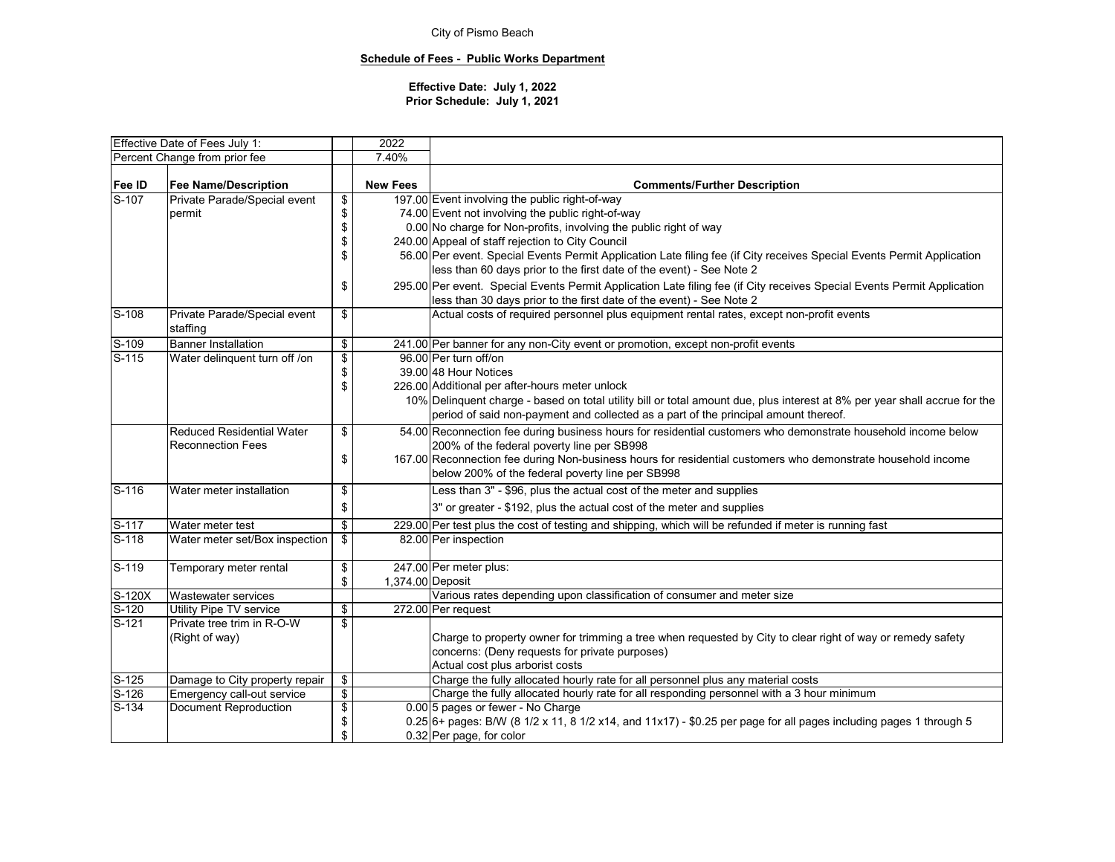## **Schedule of Fees - Public Works Department**

## **Effective Date: July 1, 2022 Prior Schedule: July 1, 2021**

| Effective Date of Fees July 1: |                                                |                        | 2022             |                                                                                                                            |  |  |  |  |
|--------------------------------|------------------------------------------------|------------------------|------------------|----------------------------------------------------------------------------------------------------------------------------|--|--|--|--|
|                                | Percent Change from prior fee                  |                        | 7.40%            |                                                                                                                            |  |  |  |  |
|                                |                                                |                        |                  |                                                                                                                            |  |  |  |  |
| Fee ID                         | <b>New Fees</b><br><b>Fee Name/Description</b> |                        |                  | <b>Comments/Further Description</b>                                                                                        |  |  |  |  |
| S-107                          | Private Parade/Special event                   | \$                     |                  | 197.00 Event involving the public right-of-way                                                                             |  |  |  |  |
|                                | permit                                         | \$                     |                  | 74.00 Event not involving the public right-of-way                                                                          |  |  |  |  |
|                                |                                                | \$                     |                  | 0.00 No charge for Non-profits, involving the public right of way                                                          |  |  |  |  |
|                                |                                                | \$                     |                  | 240.00 Appeal of staff rejection to City Council                                                                           |  |  |  |  |
|                                |                                                | \$                     |                  | 56.00 Per event. Special Events Permit Application Late filing fee (if City receives Special Events Permit Application     |  |  |  |  |
|                                |                                                |                        |                  | less than 60 days prior to the first date of the event) - See Note 2                                                       |  |  |  |  |
|                                |                                                | \$                     |                  | 295.00 Per event. Special Events Permit Application Late filing fee (if City receives Special Events Permit Application    |  |  |  |  |
|                                |                                                |                        |                  | less than 30 days prior to the first date of the event) - See Note 2                                                       |  |  |  |  |
| S-108                          | Private Parade/Special event                   | \$                     |                  | Actual costs of required personnel plus equipment rental rates, except non-profit events                                   |  |  |  |  |
|                                | staffing                                       |                        |                  |                                                                                                                            |  |  |  |  |
| $S-109$                        | <b>Banner Installation</b>                     | $\bullet$              |                  | 241.00 Per banner for any non-City event or promotion, except non-profit events                                            |  |  |  |  |
| $S-115$                        | Water delinquent turn off /on                  | \$                     |                  | 96.00 Per turn off/on                                                                                                      |  |  |  |  |
|                                |                                                | \$                     |                  | 39.00 48 Hour Notices                                                                                                      |  |  |  |  |
|                                |                                                | \$                     |                  | 226.00 Additional per after-hours meter unlock                                                                             |  |  |  |  |
|                                |                                                |                        |                  | 10% Delinquent charge - based on total utility bill or total amount due, plus interest at 8% per year shall accrue for the |  |  |  |  |
|                                |                                                |                        |                  | period of said non-payment and collected as a part of the principal amount thereof.                                        |  |  |  |  |
|                                | <b>Reduced Residential Water</b>               | \$                     |                  | 54.00 Reconnection fee during business hours for residential customers who demonstrate household income below              |  |  |  |  |
|                                | <b>Reconnection Fees</b>                       |                        |                  | 200% of the federal poverty line per SB998                                                                                 |  |  |  |  |
|                                |                                                | \$                     |                  | 167.00 Reconnection fee during Non-business hours for residential customers who demonstrate household income               |  |  |  |  |
|                                |                                                |                        |                  | below 200% of the federal poverty line per SB998                                                                           |  |  |  |  |
| S-116                          | Water meter installation                       | \$                     |                  | Less than 3" - \$96, plus the actual cost of the meter and supplies                                                        |  |  |  |  |
|                                |                                                | \$                     |                  | 3" or greater - \$192, plus the actual cost of the meter and supplies                                                      |  |  |  |  |
| S-117                          | Water meter test                               | \$                     |                  | 229.00 Per test plus the cost of testing and shipping, which will be refunded if meter is running fast                     |  |  |  |  |
| $S-118$                        | Water meter set/Box inspection                 | \$                     |                  | 82.00 Per inspection                                                                                                       |  |  |  |  |
|                                |                                                |                        |                  |                                                                                                                            |  |  |  |  |
| $S-119$                        | Temporary meter rental                         | \$                     |                  | 247.00 Per meter plus:                                                                                                     |  |  |  |  |
|                                |                                                | \$                     | 1,374.00 Deposit |                                                                                                                            |  |  |  |  |
| $S-120X$                       | Wastewater services                            |                        |                  | Various rates depending upon classification of consumer and meter size                                                     |  |  |  |  |
| $S-120$                        | Utility Pipe TV service                        | \$                     |                  | 272.00 Per request                                                                                                         |  |  |  |  |
| $S-121$                        | Private tree trim in R-O-W                     | \$                     |                  |                                                                                                                            |  |  |  |  |
|                                | (Right of way)                                 |                        |                  | Charge to property owner for trimming a tree when requested by City to clear right of way or remedy safety                 |  |  |  |  |
|                                |                                                |                        |                  | concerns: (Deny requests for private purposes)                                                                             |  |  |  |  |
|                                |                                                |                        |                  | Actual cost plus arborist costs                                                                                            |  |  |  |  |
| S-125                          | Damage to City property repair                 | \$                     |                  | Charge the fully allocated hourly rate for all personnel plus any material costs                                           |  |  |  |  |
| S-126                          | Emergency call-out service                     | $\boldsymbol{\varphi}$ |                  | Charge the fully allocated hourly rate for all responding personnel with a 3 hour minimum                                  |  |  |  |  |
| $S-134$                        | <b>Document Reproduction</b>                   | \$                     |                  | 0.00 5 pages or fewer - No Charge                                                                                          |  |  |  |  |
|                                |                                                | \$                     |                  | $0.25$ 6+ pages: B/W (8 1/2 x 11, 8 1/2 x14, and 11x17) - \$0.25 per page for all pages including pages 1 through 5        |  |  |  |  |
|                                |                                                | \$                     |                  | 0.32 Per page, for color                                                                                                   |  |  |  |  |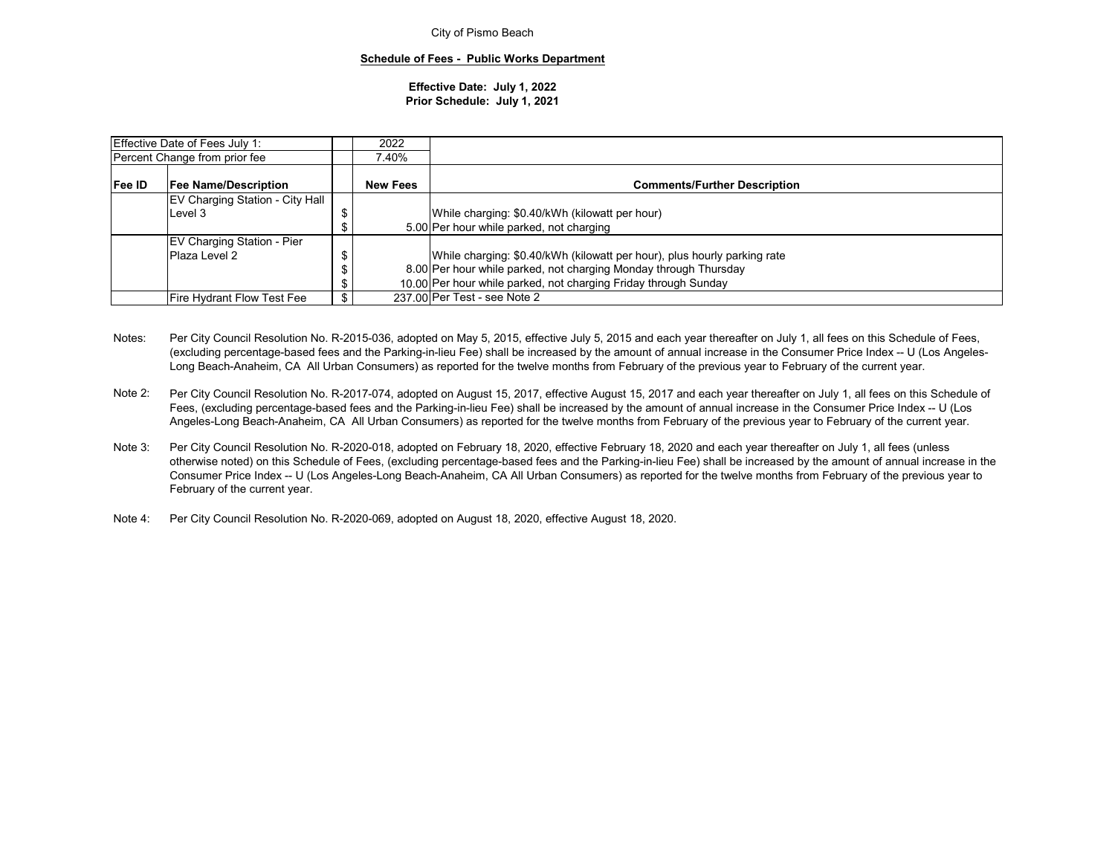#### **Schedule of Fees - Public Works Department**

#### **Effective Date: July 1, 2022 Prior Schedule: July 1, 2021**

|                                        | Effective Date of Fees July 1:    |  | 2022                                                            |                                                                          |
|----------------------------------------|-----------------------------------|--|-----------------------------------------------------------------|--------------------------------------------------------------------------|
| Percent Change from prior fee          |                                   |  | 7.40%                                                           |                                                                          |
| Fee ID<br><b>Fee Name/Description</b>  |                                   |  | <b>New Fees</b>                                                 | <b>Comments/Further Description</b>                                      |
| <b>EV Charging Station - City Hall</b> |                                   |  |                                                                 |                                                                          |
| Level 3                                |                                   |  |                                                                 | While charging: \$0.40/kWh (kilowatt per hour)                           |
|                                        |                                   |  |                                                                 | 5.00 Per hour while parked, not charging                                 |
|                                        | <b>EV Charging Station - Pier</b> |  |                                                                 |                                                                          |
|                                        | Plaza Level 2                     |  |                                                                 | While charging: \$0.40/kWh (kilowatt per hour), plus hourly parking rate |
|                                        |                                   |  |                                                                 | 8.00 Per hour while parked, not charging Monday through Thursday         |
|                                        |                                   |  | 10.00 Per hour while parked, not charging Friday through Sunday |                                                                          |
|                                        | Fire Hydrant Flow Test Fee        |  |                                                                 | 237.00 Per Test - see Note 2                                             |

- Notes: Per City Council Resolution No. R-2015-036, adopted on May 5, 2015, effective July 5, 2015 and each year thereafter on July 1, all fees on this Schedule of Fees, (excluding percentage-based fees and the Parking-in-lieu Fee) shall be increased by the amount of annual increase in the Consumer Price Index -- U (Los Angeles-Long Beach-Anaheim, CA All Urban Consumers) as reported for the twelve months from February of the previous year to February of the current year.
- Note 2:Per City Council Resolution No. R-2017-074, adopted on August 15, 2017, effective August 15, 2017 and each year thereafter on July 1, all fees on this Schedule of Fees, (excluding percentage-based fees and the Parking-in-lieu Fee) shall be increased by the amount of annual increase in the Consumer Price Index -- U (Los Angeles-Long Beach-Anaheim, CA All Urban Consumers) as reported for the twelve months from February of the previous year to February of the current year.
- Note 3:Per City Council Resolution No. R-2020-018, adopted on February 18, 2020, effective February 18, 2020 and each year thereafter on July 1, all fees (unless otherwise noted) on this Schedule of Fees, (excluding percentage-based fees and the Parking-in-lieu Fee) shall be increased by the amount of annual increase in the Consumer Price Index -- U (Los Angeles-Long Beach-Anaheim, CA All Urban Consumers) as reported for the twelve months from February of the previous year to February of the current year.
- Note 4: Per City Council Resolution No. R-2020-069, adopted on August 18, 2020, effective August 18, 2020.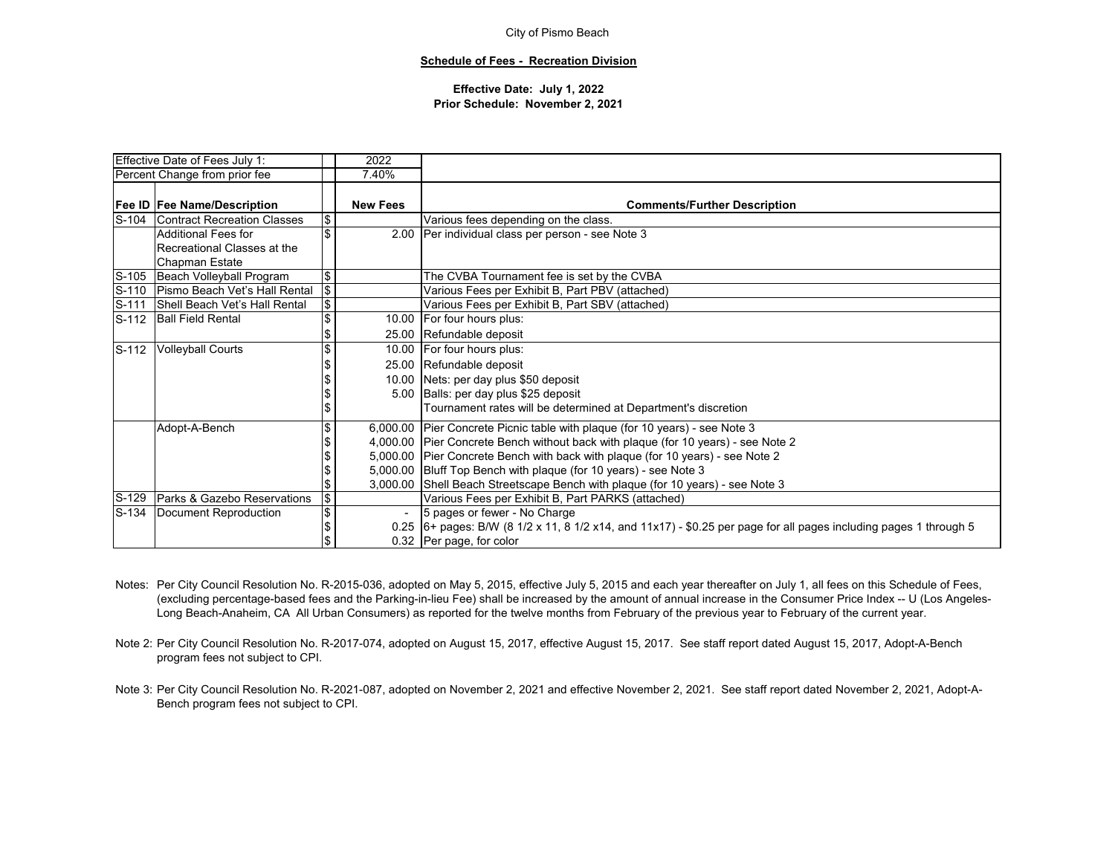#### **Schedule of Fees - Recreation Division**

|       | Effective Date of Fees July 1:      |            | 2022            |                                                                                                                     |
|-------|-------------------------------------|------------|-----------------|---------------------------------------------------------------------------------------------------------------------|
|       | Percent Change from prior fee       |            | 7.40%           |                                                                                                                     |
|       |                                     |            |                 |                                                                                                                     |
|       | <b>Fee ID Fee Name/Description</b>  |            | <b>New Fees</b> | <b>Comments/Further Description</b>                                                                                 |
| S-104 | Contract Recreation Classes         | \$         |                 | Various fees depending on the class.                                                                                |
|       | Additional Fees for                 | \$         | 2.00            | Per individual class per person - see Note 3                                                                        |
|       | Recreational Classes at the         |            |                 |                                                                                                                     |
|       | <b>Chapman Estate</b>               |            |                 |                                                                                                                     |
| S-105 | Beach Volleyball Program            | \$         |                 | The CVBA Tournament fee is set by the CVBA                                                                          |
|       | S-110 Pismo Beach Vet's Hall Rental | $\sqrt{2}$ |                 | Various Fees per Exhibit B, Part PBV (attached)                                                                     |
| S-111 | Shell Beach Vet's Hall Rental       | Φ          |                 | Various Fees per Exhibit B, Part SBV (attached)                                                                     |
| S-112 | <b>Ball Field Rental</b>            | \$         |                 | 10.00   For four hours plus:                                                                                        |
|       |                                     | \$         |                 | 25.00 Refundable deposit                                                                                            |
| S-112 | <b>Volleyball Courts</b>            | \$         |                 | 10.00 For four hours plus:                                                                                          |
|       |                                     |            |                 | 25.00 Refundable deposit                                                                                            |
|       |                                     |            |                 | 10.00 Nets: per day plus \$50 deposit                                                                               |
|       |                                     |            |                 | 5.00 Balls: per day plus \$25 deposit                                                                               |
|       |                                     |            |                 | Tournament rates will be determined at Department's discretion                                                      |
|       | Adopt-A-Bench                       |            |                 | 6,000.00 Pier Concrete Picnic table with plaque (for 10 years) - see Note 3                                         |
|       |                                     |            |                 | 4,000.00 Pier Concrete Bench without back with plaque (for 10 years) - see Note 2                                   |
|       |                                     |            |                 | 5,000.00 Pier Concrete Bench with back with plaque (for 10 years) - see Note 2                                      |
|       |                                     |            |                 | 5,000.00 Bluff Top Bench with plaque (for 10 years) - see Note 3                                                    |
|       |                                     |            |                 | 3,000.00 Shell Beach Streetscape Bench with plaque (for 10 years) - see Note 3                                      |
| S-129 | Parks & Gazebo Reservations         | \$         |                 | Various Fees per Exhibit B, Part PARKS (attached)                                                                   |
| S-134 | Document Reproduction               | \$         |                 | 5 pages or fewer - No Charge                                                                                        |
|       |                                     | \$         |                 | $0.25$ 6+ pages: B/W (8 1/2 x 11, 8 1/2 x14, and 11x17) - \$0.25 per page for all pages including pages 1 through 5 |
|       |                                     |            |                 | 0.32 Per page, for color                                                                                            |

- Notes: Per City Council Resolution No. R-2015-036, adopted on May 5, 2015, effective July 5, 2015 and each year thereafter on July 1, all fees on this Schedule of Fees, (excluding percentage-based fees and the Parking-in-lieu Fee) shall be increased by the amount of annual increase in the Consumer Price Index -- U (Los Angeles-Long Beach-Anaheim, CA All Urban Consumers) as reported for the twelve months from February of the previous year to February of the current year.
- Note 2: Per City Council Resolution No. R-2017-074, adopted on August 15, 2017, effective August 15, 2017. See staff report dated August 15, 2017, Adopt-A-Bench program fees not subject to CPI.
- Note 3: Per City Council Resolution No. R-2021-087, adopted on November 2, 2021 and effective November 2, 2021. See staff report dated November 2, 2021, Adopt-A-Bench program fees not subject to CPI.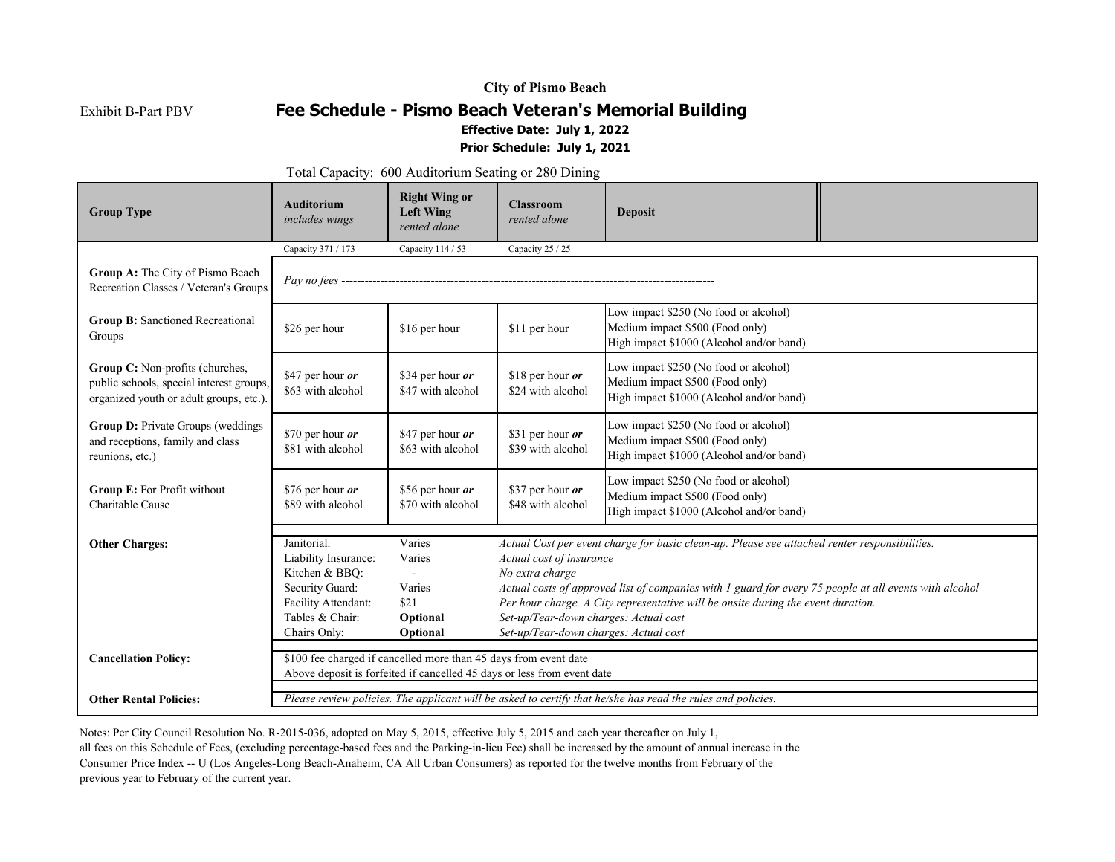Exhibit B-Part PBV

## **Fee Schedule - Pismo Beach Veteran's Memorial Building Effective Date: July 1, 2022**

## **Prior Schedule: July 1, 2021**

Total Capacity: 600 Auditorium Seating or 280 Dining

| <b>Group Type</b>                                                                                                      | <b>Auditorium</b><br>includes wings                                                                                | <b>Right Wing or</b><br><b>Left Wing</b><br>rented alone         | <b>Classroom</b><br>rented alone                                                                                                                                                                                                                                                                                                                                                    | <b>Deposit</b>                                                                                                       |  |  |  |  |
|------------------------------------------------------------------------------------------------------------------------|--------------------------------------------------------------------------------------------------------------------|------------------------------------------------------------------|-------------------------------------------------------------------------------------------------------------------------------------------------------------------------------------------------------------------------------------------------------------------------------------------------------------------------------------------------------------------------------------|----------------------------------------------------------------------------------------------------------------------|--|--|--|--|
|                                                                                                                        | Capacity 371 / 173                                                                                                 | Capacity 114 / 53                                                | Capacity 25 / 25                                                                                                                                                                                                                                                                                                                                                                    |                                                                                                                      |  |  |  |  |
| Group A: The City of Pismo Beach<br>Recreation Classes / Veteran's Groups                                              |                                                                                                                    |                                                                  |                                                                                                                                                                                                                                                                                                                                                                                     |                                                                                                                      |  |  |  |  |
| <b>Group B:</b> Sanctioned Recreational<br>Groups                                                                      | \$26 per hour                                                                                                      | \$16 per hour                                                    | \$11 per hour                                                                                                                                                                                                                                                                                                                                                                       | Low impact \$250 (No food or alcohol)<br>Medium impact \$500 (Food only)<br>High impact \$1000 (Alcohol and/or band) |  |  |  |  |
| Group C: Non-profits (churches,<br>public schools, special interest groups,<br>organized youth or adult groups, etc.). | \$47 per hour or<br>\$63 with alcohol                                                                              | \$34 per hour or<br>\$47 with alcohol                            | \$18 per hour $or$<br>\$24 with alcohol                                                                                                                                                                                                                                                                                                                                             | Low impact \$250 (No food or alcohol)<br>Medium impact \$500 (Food only)<br>High impact \$1000 (Alcohol and/or band) |  |  |  |  |
| Group D: Private Groups (weddings<br>and receptions, family and class<br>reunions, etc.)                               | \$70 per hour or<br>\$81 with alcohol                                                                              | \$47 per hour or<br>\$63 with alcohol                            | \$31 per hour or<br>\$39 with alcohol                                                                                                                                                                                                                                                                                                                                               | Low impact \$250 (No food or alcohol)<br>Medium impact \$500 (Food only)<br>High impact \$1000 (Alcohol and/or band) |  |  |  |  |
| Group E: For Profit without<br>Charitable Cause                                                                        | \$76 per hour or<br>\$89 with alcohol                                                                              | \$56 per hour or<br>\$70 with alcohol                            | \$37 per hour or<br>\$48 with alcohol                                                                                                                                                                                                                                                                                                                                               | Low impact \$250 (No food or alcohol)<br>Medium impact \$500 (Food only)<br>High impact \$1000 (Alcohol and/or band) |  |  |  |  |
| <b>Other Charges:</b>                                                                                                  | Janitorial:<br>Liability Insurance:<br>Kitchen & BBQ:<br>Security Guard:<br>Facility Attendant:<br>Tables & Chair: | Varies<br>Varies<br>$\overline{a}$<br>Varies<br>\$21<br>Optional | Actual Cost per event charge for basic clean-up. Please see attached renter responsibilities.<br>Actual cost of insurance<br>No extra charge<br>Actual costs of approved list of companies with 1 guard for every 75 people at all events with alcohol<br>Per hour charge. A City representative will be onsite during the event duration.<br>Set-up/Tear-down charges: Actual cost |                                                                                                                      |  |  |  |  |
| Set-up/Tear-down charges: Actual cost<br>Chairs Only:<br>Optional                                                      |                                                                                                                    |                                                                  |                                                                                                                                                                                                                                                                                                                                                                                     |                                                                                                                      |  |  |  |  |
| <b>Cancellation Policy:</b>                                                                                            |                                                                                                                    | \$100 fee charged if cancelled more than 45 days from event date | Above deposit is forfeited if cancelled 45 days or less from event date                                                                                                                                                                                                                                                                                                             |                                                                                                                      |  |  |  |  |
| <b>Other Rental Policies:</b>                                                                                          |                                                                                                                    |                                                                  |                                                                                                                                                                                                                                                                                                                                                                                     | Please review policies. The applicant will be asked to certify that he/she has read the rules and policies.          |  |  |  |  |

Notes: Per City Council Resolution No. R-2015-036, adopted on May 5, 2015, effective July 5, 2015 and each year thereafter on July 1,

all fees on this Schedule of Fees, (excluding percentage-based fees and the Parking-in-lieu Fee) shall be increased by the amount of annual increase in the

Consumer Price Index -- U (Los Angeles-Long Beach-Anaheim, CA All Urban Consumers) as reported for the twelve months from February of the

previous year to February of the current year.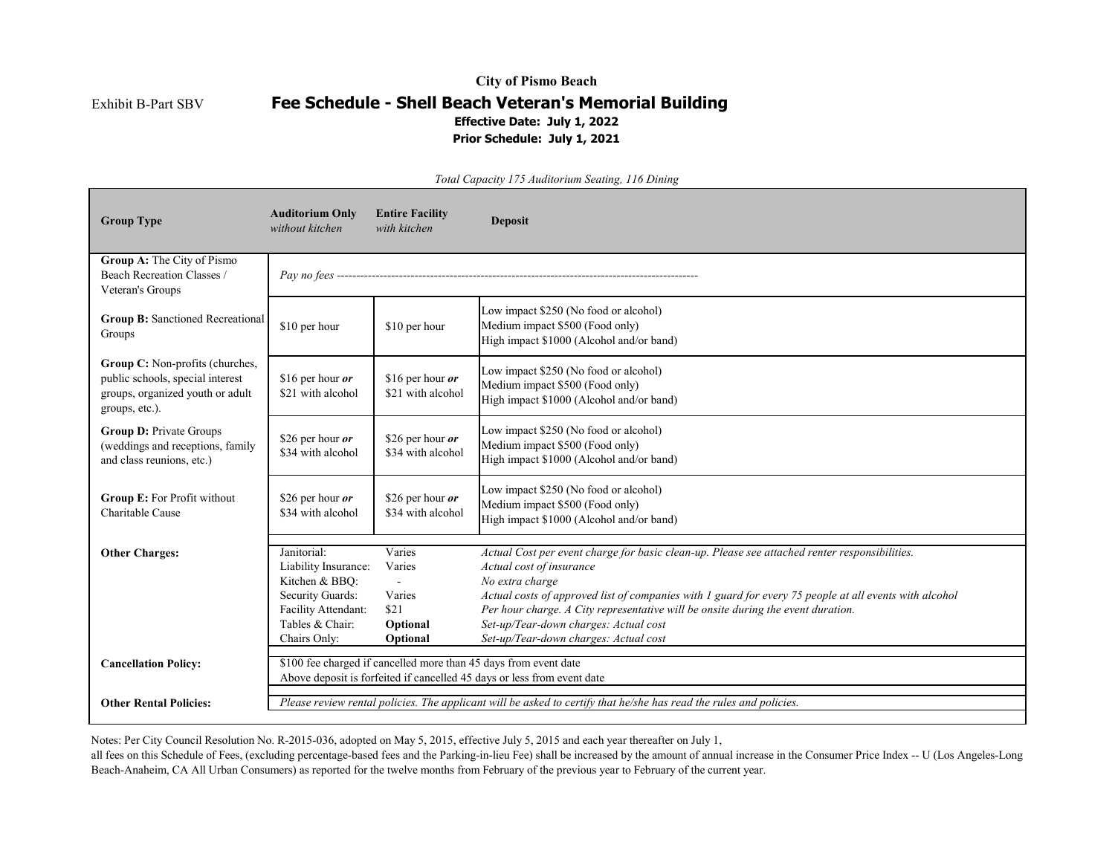Exhibit B-Part SBV

## **City of Pismo Beach Fee Schedule - Shell Beach Veteran's Memorial Building Effective Date: July 1, 2022 Prior Schedule: July 1, 2021**

| <b>Group Type</b>                                                                                                         | <b>Auditorium Only</b><br>without kitchen                                                                                                   | <b>Entire Facility</b><br>with kitchen                     | <b>Deposit</b>                                                                                                                                                                                                                                                                                                                                                                                                               |
|---------------------------------------------------------------------------------------------------------------------------|---------------------------------------------------------------------------------------------------------------------------------------------|------------------------------------------------------------|------------------------------------------------------------------------------------------------------------------------------------------------------------------------------------------------------------------------------------------------------------------------------------------------------------------------------------------------------------------------------------------------------------------------------|
| Group A: The City of Pismo<br>Beach Recreation Classes /<br>Veteran's Groups                                              |                                                                                                                                             |                                                            |                                                                                                                                                                                                                                                                                                                                                                                                                              |
| <b>Group B: Sanctioned Recreational</b><br>Groups                                                                         | \$10 per hour                                                                                                                               | \$10 per hour                                              | Low impact \$250 (No food or alcohol)<br>Medium impact \$500 (Food only)<br>High impact \$1000 (Alcohol and/or band)                                                                                                                                                                                                                                                                                                         |
| Group C: Non-profits (churches,<br>public schools, special interest<br>groups, organized youth or adult<br>groups, etc.). | \$16 per hour $or$<br>\$21 with alcohol                                                                                                     | \$16 per hour $or$<br>\$21 with alcohol                    | Low impact \$250 (No food or alcohol)<br>Medium impact \$500 (Food only)<br>High impact \$1000 (Alcohol and/or band)                                                                                                                                                                                                                                                                                                         |
| <b>Group D: Private Groups</b><br>(weddings and receptions, family<br>and class reunions, etc.)                           | \$26 per hour or<br>\$34 with alcohol                                                                                                       | \$26 per hour or<br>\$34 with alcohol                      | Low impact \$250 (No food or alcohol)<br>Medium impact \$500 (Food only)<br>High impact \$1000 (Alcohol and/or band)                                                                                                                                                                                                                                                                                                         |
| Group E: For Profit without<br>Charitable Cause                                                                           | \$26 per hour $or$<br>\$34 with alcohol                                                                                                     | \$26 per hour $or$<br>\$34 with alcohol                    | Low impact \$250 (No food or alcohol)<br>Medium impact \$500 (Food only)<br>High impact \$1000 (Alcohol and/or band)                                                                                                                                                                                                                                                                                                         |
| <b>Other Charges:</b>                                                                                                     | Janitorial:<br>Liability Insurance:<br>Kitchen & BBQ:<br>Security Guards:<br>Facility Attendant:<br>Tables & Chair:<br>Chairs Only:         | Varies<br>Varies<br>Varies<br>\$21<br>Optional<br>Optional | Actual Cost per event charge for basic clean-up. Please see attached renter responsibilities.<br>Actual cost of insurance<br>No extra charge<br>Actual costs of approved list of companies with 1 guard for every 75 people at all events with alcohol<br>Per hour charge. A City representative will be onsite during the event duration.<br>Set-up/Tear-down charges: Actual cost<br>Set-up/Tear-down charges: Actual cost |
| <b>Cancellation Policy:</b>                                                                                               | \$100 fee charged if cancelled more than 45 days from event date<br>Above deposit is forfeited if cancelled 45 days or less from event date |                                                            |                                                                                                                                                                                                                                                                                                                                                                                                                              |
| <b>Other Rental Policies:</b>                                                                                             |                                                                                                                                             |                                                            | Please review rental policies. The applicant will be asked to certify that he/she has read the rules and policies.                                                                                                                                                                                                                                                                                                           |

*Total Capacity 175 Auditorium Seating, 116 Dining*

Notes: Per City Council Resolution No. R-2015-036, adopted on May 5, 2015, effective July 5, 2015 and each year thereafter on July 1,

all fees on this Schedule of Fees, (excluding percentage-based fees and the Parking-in-lieu Fee) shall be increased by the amount of annual increase in the Consumer Price Index -- U (Los Angeles-Long Beach-Anaheim, CA All Urban Consumers) as reported for the twelve months from February of the previous year to February of the current year.